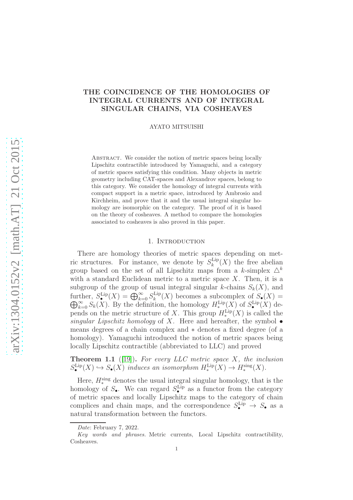# THE COINCIDENCE OF THE HOMOLOGIES OF INTEGRAL CURRENTS AND OF INTEGRAL SINGULAR CHAINS, VIA COSHEAVES

## AYATO MITSUISHI

ABSTRACT. We consider the notion of metric spaces being locally Lipschitz contractible introduced by Yamaguchi, and a category of metric spaces satisfying this condition. Many objects in metric geometry including CAT-spaces and Alexandrov spaces, belong to this category. We consider the homology of integral currents with compact support in a metric space, introduced by Ambrosio and Kirchheim, and prove that it and the usual integral singular homology are isomorphic on the category. The proof of it is based on the theory of cosheaves. A method to compare the homologies associated to cosheaves is also proved in this paper.

## 1. INTRODUCTION

There are homology theories of metric spaces depending on metric structures. For instance, we denote by  $S_k^{\text{Lip}}$  $\mathcal{L}_{k}^{\text{Lip}}(X)$  the free abelian group based on the set of all Lipschitz maps from a k-simplex  $\Delta^k$ with a standard Euclidean metric to a metric space  $X$ . Then, it is a subgroup of the group of usual integral singular k-chains  $S_k(X)$ , and further,  $S_{\bullet}^{\text{Lip}}(X) = \bigoplus_{k=0}^{\infty} S_k^{\text{Lip}}$ k  $\oplus$ ther,  $S_{\bullet}^{\text{Lip}}(X) = \bigoplus_{k=0}^{\infty} S_k^{\text{Lip}}(X)$  becomes a subcomplex of  $S_{\bullet}(X) = \sum_{k=0}^{\infty} S_k(X)$ . By the definition, the homology  $H_*^{\text{Lip}}(X)$  of  $S_{\bullet}^{\text{Lip}}(X)$  depends on the metric structure of X. This group  $H_*^{\text{Lip}}(X)$  is called the *singular Lipschitz homology* of X. Here and hereafter, the symbol • means degrees of a chain complex and ∗ denotes a fixed degree (of a homology). Yamaguchi introduced the notion of metric spaces being locally Lipschitz contractible (abbreviated to LLC) and proved

<span id="page-0-0"></span>Theorem 1.1 ([\[19\]](#page-38-0)). *For every LLC metric space* X*, the inclusion*  $S_{\bullet}^{\text{Lip}}(X) \hookrightarrow S_{\bullet}(X)$  *induces an isomorphsm*  $H_*^{\text{Lip}}(X) \to H_*^{\text{sing}}(X)$ .

Here,  $H_*^{\text{sing}}$  denotes the usual integral singular homology, that is the homology of  $S_{\bullet}$ . We can regard  $S_{\bullet}^{\text{Lip}}$  as a functor from the category of metric spaces and locally Lipschitz maps to the category of chain complices and chain maps, and the correspondence  $S^{\text{Lip}}_{\bullet} \to S_{\bullet}$  as a natural transformation between the functors.

Date: February 7, 2022.

Key words and phrases. Metric currents, Local Lipschitz contractibility, Cosheaves.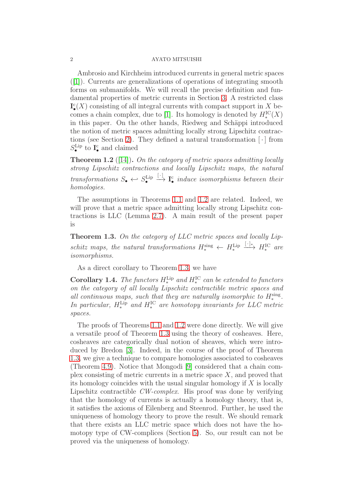Ambrosio and Kirchheim introduced currents in general metric spaces ([\[1\]](#page-37-0)). Currents are generalizations of operations of integrating smooth forms on submanifolds. We will recall the precise definition and fundamental properties of metric currents in Section [3.](#page-9-0) A restricted class  $\mathbf{I}^{\mathsf{c}}_{\bullet}(X)$  consisting of all integral currents with compact support in X be-comes a chain complex, due to [\[1\]](#page-37-0). Its homology is denoted by  $H^{\rm IC}_*(X)$ in this paper. On the other hands, Riedweg and Schäppi introduced the notion of metric spaces admitting locally strong Lipschitz contrac-tions (see Section [2\)](#page-2-0). They defined a natural transformation  $\lceil \cdot \rceil$  from  $S_{\bullet}^{\text{Lip}}$  to  $\mathbf{I}_{\bullet}^{\text{c}}$  and claimed

<span id="page-1-0"></span>Theorem 1.2 ([\[14\]](#page-38-1)). *On the category of metric spaces admitting locally strong Lipschitz contractions and locally Lipschitz maps, the natural*  $transformations S_{\bullet} \leftarrow S_{\bullet}^{\text{Lip}}$  $\stackrel{[\cdot]}{\longrightarrow} \mathbf{I}_{\bullet}^{\mathbf{c}}$  *induce isomorphisms between their homologies.*

The assumptions in Theorems [1.1](#page-0-0) and [1.2](#page-1-0) are related. Indeed, we will prove that a metric space admitting locally strong Lipschitz contractions is LLC (Lemma [2.7\)](#page-5-0). A main result of the present paper is

<span id="page-1-1"></span>Theorem 1.3. *On the category of LLC metric spaces and locally Lip*schitz maps, the natural transformations  $H_*^{\text{sing}} \leftarrow H_*^{\text{Lip}} \xrightarrow{[\cdot]_*} H_*^{\text{IC}}$  are *isomorphisms.*

As a direct corollary to Theorem [1.3,](#page-1-1) we have

<span id="page-1-2"></span>**Corollary 1.4.** *The functors*  $H_*^{\text{Lip}}$  *and*  $H_*^{\text{IC}}$  *can be extended to functors on the category of all locally Lipschitz contractible metric spaces and all continuous maps, such that they are naturally isomorphic to*  $H_*^{\text{sing}}$ . *In particular,*  $H^{\text{Lip}}_*$  and  $H^{\text{IC}}_*$  are homotopy invariants for LLC metric *spaces.*

The proofs of Theorems [1.1](#page-0-0) and [1.2](#page-1-0) were done directly. We will give a versatile proof of Theorem [1.3](#page-1-1) using the theory of cosheaves. Here, cosheaves are categorically dual notion of sheaves, which were introduced by Bredon [\[3\]](#page-37-1). Indeed, in the course of the proof of Theorem [1.3,](#page-1-1) we give a technique to compare homologies associated to cosheaves (Theorem [4.9\)](#page-23-0). Notice that Mongodi [\[9\]](#page-38-2) considered that a chain complex consisting of metric currents in a metric space  $X$ , and proved that its homology coincides with the usual singular homology if  $X$  is locally Lipschitz contractible *CW-complex*. His proof was done by verifying that the homology of currents is actually a homology theory, that is, it satisfies the axioms of Eilenberg and Steenrod. Further, he used the uniqueness of homology theory to prove the result. We should remark that there exists an LLC metric space which does not have the homotopy type of CW-complices (Section [5\)](#page-30-0). So, our result can not be proved via the uniqueness of homology.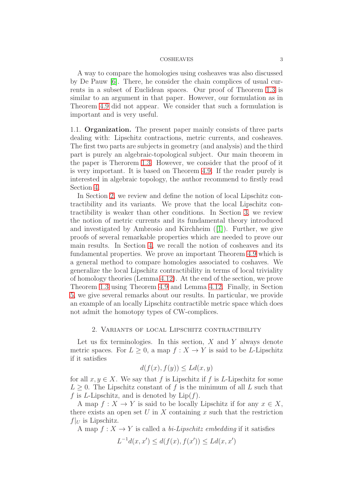A way to compare the homologies using cosheaves was also discussed by De Pauw [\[6\]](#page-38-3). There, he consider the chain complices of usual currents in a subset of Euclidean spaces. Our proof of Theorem [1.3](#page-1-1) is similar to an argument in that paper. However, our formulation as in Theorem [4.9](#page-23-0) did not appear. We consider that such a formulation is important and is very useful.

1.1. Organization. The present paper mainly consists of three parts dealing with: Lipschitz contractions, metric currents, and cosheaves. The first two parts are subjects in geometry (and analysis) and the third part is purely an algebraic-topological subject. Our main theorem in the paper is Therorem [1.3.](#page-1-1) However, we consider that the proof of it is very important. It is based on Theorem [4.9.](#page-23-0) If the reader purely is interested in algebraic topology, the author recommend to firstly read Section [4.](#page-19-0)

In Section [2,](#page-2-0) we review and define the notion of local Lipschitz contractibility and its variants. We prove that the local Lipschitz contractibility is weaker than other conditions. In Section [3,](#page-9-0) we review the notion of metric currents and its fundamental theory introduced and investigated by Ambrosio and Kirchheim ([\[1\]](#page-37-0)). Further, we give proofs of several remarkable properties which are needed to prove our main results. In Section [4,](#page-19-0) we recall the notion of cosheaves and its fundamental properties. We prove an important Theorem [4.9](#page-23-0) which is a general method to compare homologies associated to coshaves. We generalize the local Lipschitz contractibility in terms of local triviality of homology theories (Lemma [4.12\)](#page-28-0). At the end of the section, we prove Theorem [1.3](#page-1-1) using Theorem [4.9](#page-23-0) and Lemma [4.12.](#page-28-0) Finally, in Section [5,](#page-30-0) we give several remarks about our results. In particular, we provide an example of an locally Lipschitz contractible metric space which does not admit the homotopy types of CW-complices.

## 2. Variants of local Lipschitz contractibility

<span id="page-2-0"></span>Let us fix terminologies. In this section,  $X$  and  $Y$  always denote metric spaces. For  $L \geq 0$ , a map  $f : X \to Y$  is said to be *L*-Lipschitz if it satisfies

$$
d(f(x), f(y)) \le Ld(x, y)
$$

for all  $x, y \in X$ . We say that f is Lipschitz if f is L-Lipschitz for some  $L > 0$ . The Lipschitz constant of f is the minimum of all L such that f is L-Lipschitz, and is denoted by  $\text{Lip}(f)$ .

A map  $f: X \to Y$  is said to be locally Lipschitz if for any  $x \in X$ , there exists an open set  $U$  in  $X$  containing  $x$  such that the restriction  $f|_U$  is Lipschitz.

A map  $f: X \to Y$  is called a *bi-Lipschitz embedding* if it satisfies

$$
L^{-1}d(x, x') \le d(f(x), f(x')) \le Ld(x, x')
$$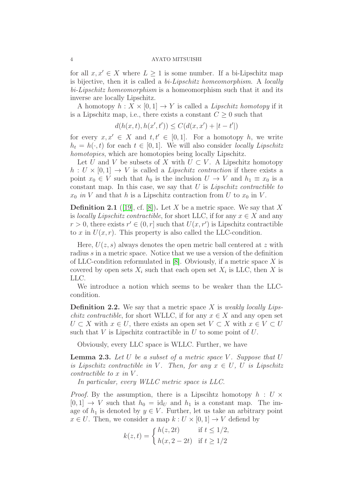for all  $x, x' \in X$  where  $L \geq 1$  is some number. If a bi-Lipschitz map is bijective, then it is called a *bi-Lipschitz homeomorphism*. A *locally bi-Lipschitz homeomorphism* is a homeomorphism such that it and its inverse are locally Lipschitz.

A homotopy  $h: X \times [0,1] \to Y$  is called a *Lipschitz homotopy* if it is a Lipschitz map, i.e., there exists a constant  $C \geq 0$  such that

$$
d(h(x, t), h(x', t')) \le C(d(x, x') + |t - t'|)
$$

for every  $x, x' \in X$  and  $t, t' \in [0, 1]$ . For a homotopy h, we write  $h_t = h(\cdot, t)$  for each  $t \in [0, 1]$ . We will also consider *locally Lipschitz homotopies*, which are homotopies being locally Lipschitz.

Let U and V be subsets of X with  $U \subset V$ . A Lipschitz homotopy  $h: U \times [0,1] \rightarrow V$  is called a *Lipschitz contraction* if there exists a point  $x_0 \in V$  such that  $h_0$  is the inclusion  $U \to V$  and  $h_1 \equiv x_0$  is a constant map. In this case, we say that U is *Lipschitz contractible to*  $x_0$  *in* V and that h is a Lipschitz contraction from U to  $x_0$  in V.

**Definition 2.1** ([\[19\]](#page-38-0), cf. [\[8\]](#page-38-4)). Let X be a metric space. We say that X is *locally Lipschitz contractible*, for short LLC, if for any  $x \in X$  and any  $r > 0$ , there exists  $r' \in (0, r]$  such that  $U(x, r')$  is Lipschitz contractible to x in  $U(x, r)$ . This property is also called the LLC-condition.

Here,  $U(z, s)$  always denotes the open metric ball centered at z with radius s in a metric space. Notice that we use a version of the definition of LLC-condition reformulated in  $[8]$ . Obviously, if a metric space X is covered by open sets  $X_i$  such that each open set  $X_i$  is LLC, then X is LLC.

We introduce a notion which seems to be weaker than the LLCcondition.

Definition 2.2. We say that a metric space X is *weakly locally Lipschitz contractible*, for short WLLC, if for any  $x \in X$  and any open set  $U \subset X$  with  $x \in U$ , there exists an open set  $V \subset X$  with  $x \in V \subset U$ such that  $V$  is Lipschitz contractible in  $U$  to some point of  $U$ .

Obviously, every LLC space is WLLC. Further, we have

<span id="page-3-0"></span>**Lemma 2.3.** Let U be a subset of a metric space V. Suppose that U *is Lipschitz contractible in* V. Then, for any  $x \in U$ , U *is Lipschitz contractible to*  $x$  *in*  $V$ *.* 

*In particular, every WLLC metric space is LLC.*

*Proof.* By the assumption, there is a Lipscihtz homotopy  $h : U \times$  $[0, 1] \rightarrow V$  such that  $h_0 = id_U$  and  $h_1$  is a constant map. The image of  $h_1$  is denoted by  $y \in V$ . Further, let us take an arbitrary point  $x \in U$ . Then, we consider a map  $k : U \times [0, 1] \rightarrow V$  defiend by

$$
k(z,t) = \begin{cases} h(z, 2t) & \text{if } t \le 1/2, \\ h(x, 2 - 2t) & \text{if } t \ge 1/2 \end{cases}
$$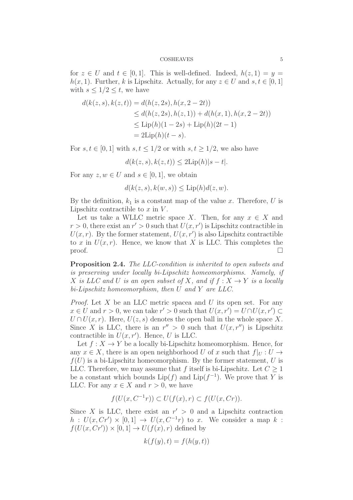for  $z \in U$  and  $t \in [0,1]$ . This is well-defined. Indeed,  $h(z, 1) = y =$  $h(x, 1)$ . Further, k is Lipschitz. Actually, for any  $z \in U$  and  $s, t \in [0, 1]$ with  $s \leq 1/2 \leq t$ , we have

$$
d(k(z, s), k(z, t)) = d(h(z, 2s), h(x, 2 - 2t))
$$
  
\n
$$
\leq d(h(z, 2s), h(z, 1)) + d(h(x, 1), h(x, 2 - 2t))
$$
  
\n
$$
\leq \text{Lip}(h)(1 - 2s) + \text{Lip}(h)(2t - 1)
$$
  
\n
$$
= 2\text{Lip}(h)(t - s).
$$

For  $s, t \in [0, 1]$  with  $s, t \leq 1/2$  or with  $s, t \geq 1/2$ , we also have

$$
d(k(z, s), k(z, t)) \le 2\text{Lip}(h)|s - t|.
$$

For any  $z, w \in U$  and  $s \in [0, 1]$ , we obtain

$$
d(k(z, s), k(w, s)) \le \text{Lip}(h)d(z, w).
$$

By the definition,  $k_1$  is a constant map of the value x. Therefore, U is Lipschitz contractible to  $x$  in  $V$ .

Let us take a WLLC metric space X. Then, for any  $x \in X$  and  $r > 0$ , there exist an  $r' > 0$  such that  $U(x, r')$  is Lipschitz contractible in  $U(x, r)$ . By the former statement,  $U(x, r')$  is also Lipschitz contractible to x in  $U(x, r)$ . Hence, we know that X is LLC. This completes the  $\Box$ 

<span id="page-4-0"></span>Proposition 2.4. *The LLC-condition is inherited to open subsets and is preserving under locally bi-Lipschitz homeomorphisms. Namely, if* X *is LLC and* U *is an open subset of* X, and if  $f: X \rightarrow Y$  *is a locally bi-Lipschitz homeomorphism, then* U *and* Y *are LLC.*

*Proof.* Let X be an LLC metric spacea and U its open set. For any  $x \in U$  and  $r > 0$ , we can take  $r' > 0$  such that  $U(x, r') = U \cap U(x, r') \subset$  $U \cap U(x, r)$ . Here,  $U(z, s)$  denotes the open ball in the whole space X. Since X is LLC, there is an  $r'' > 0$  such that  $U(x, r'')$  is Lipschitz contractible in  $U(x, r')$ . Hence, U is LLC.

Let  $f: X \to Y$  be a locally bi-Lipschitz homeomorphism. Hence, for any  $x \in X$ , there is an open neighborhood U of x such that  $f|_U : U \rightarrow$  $f(U)$  is a bi-Lipschitz homeomorphism. By the former statement, U is LLC. Therefore, we may assume that f itself is bi-Lipschitz. Let  $C \geq 1$ be a constant which bounds  $\text{Lip}(f)$  and  $\text{Lip}(f^{-1})$ . We prove that Y is LLC. For any  $x \in X$  and  $r > 0$ , we have

$$
f(U(x, C^{-1}r)) \subset U(f(x), r) \subset f(U(x, Cr)).
$$

Since X is LLC, there exist an  $r' > 0$  and a Lipschitz contraction  $h: U(x, Cr') \times [0,1] \rightarrow U(x, C^{-1}r)$  to x. We consider a map k:  $f(U(x, Cr')) \times [0,1] \to U(f(x),r)$  defined by

$$
k(f(y),t) = f(h(y,t))
$$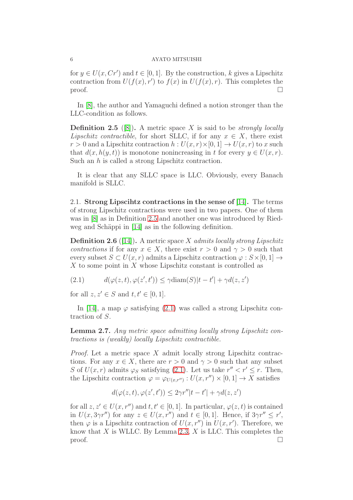for  $y \in U(x, Cr')$  and  $t \in [0, 1]$ . By the construction, k gives a Lipschitz contraction from  $U(f(x), r')$  to  $f(x)$  in  $U(f(x), r)$ . This completes the proof.  $\Box$ 

In [\[8\]](#page-38-4), the author and Yamaguchi defined a notion stronger than the LLC-condition as follows.

<span id="page-5-1"></span>Definition 2.5 ([\[8\]](#page-38-4)). A metric space X is said to be *strongly locally Lipschitz contractible*, for short SLLC, if for any  $x \in X$ , there exist  $r > 0$  and a Lipschitz contraction  $h: U(x, r) \times [0, 1] \rightarrow U(x, r)$  to x such that  $d(x, h(y, t))$  is monotone nonincreasing in t for every  $y \in U(x, r)$ . Such an h is called a strong Lipschitz contraction.

It is clear that any SLLC space is LLC. Obviously, every Banach manifold is SLLC.

2.1. Strong Lipscihtz contractions in the sense of [\[14\]](#page-38-1). The terms of strong Lipschitz contractions were used in two papers. One of them was in [\[8\]](#page-38-4) as in Definition [2.5](#page-5-1) and another one was introduced by Ried-weg and Schäppi in [\[14\]](#page-38-1) as in the following definition.

Definition 2.6 ([\[14\]](#page-38-1)). A metric space X *admits locally strong Lipschitz contractions* if for any  $x \in X$ , there exist  $r > 0$  and  $\gamma > 0$  such that every subset  $S \subset U(x, r)$  admits a Lipschitz contraction  $\varphi : S \times [0, 1] \rightarrow$ X to some point in X whose Lipschitz constant is controlled as

<span id="page-5-2"></span>(2.1) 
$$
d(\varphi(z,t), \varphi(z',t')) \leq \gamma \text{diam}(S)|t-t'| + \gamma d(z,z')
$$

for all  $z, z' \in S$  and  $t, t' \in [0, 1]$ .

In [\[14\]](#page-38-1), a map  $\varphi$  satisfying [\(2.1\)](#page-5-2) was called a strong Lipschitz contraction of S.

<span id="page-5-0"></span>Lemma 2.7. *Any metric space admitting locally strong Lipschitz contractions is (weakly) locally Lipschitz contractible.*

*Proof.* Let a metric space X admit locally strong Lipschitz contractions. For any  $x \in X$ , there are  $r > 0$  and  $\gamma > 0$  such that any subset S of  $U(x, r)$  admits  $\varphi_S$  satisfying [\(2.1\)](#page-5-2). Let us take  $r'' < r' \le r$ . Then, the Lipschitz contraction  $\varphi = \varphi_{U(x,r'')} : U(x,r'') \times [0,1] \to X$  satisfies

$$
d(\varphi(z,t),\varphi(z',t')) \le 2\gamma r''|t-t'| + \gamma d(z,z')
$$

for all  $z, z' \in U(x, r'')$  and  $t, t' \in [0, 1]$ . In particular,  $\varphi(z, t)$  is contained in  $U(x, 3\gamma r'')$  for any  $z \in U(x, r'')$  and  $t \in [0, 1]$ . Hence, if  $3\gamma r'' \le r'$ , then  $\varphi$  is a Lipschitz contraction of  $U(x, r'')$  in  $U(x, r')$ . Therefore, we know that  $X$  is WLLC. By Lemma [2.3,](#page-3-0)  $X$  is LLC. This completes the proof.  $\Box$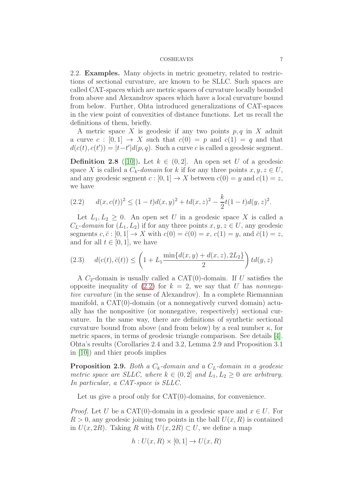<span id="page-6-2"></span>2.2. Examples. Many objects in metric geometry, related to restrictions of sectional curvature, are known to be SLLC. Such spaces are called CAT-spaces which are metric spaces of curvature locally bounded from above and Alexandrov spaces which have a local curvature bound from below. Further, Ohta introduced generalizations of CAT-spaces in the view point of convexities of distance functions. Let us recall the definitions of them, briefly.

A metric space X is geodesic if any two points  $p, q$  in X admit a curve c :  $[0, 1] \rightarrow X$  such that  $c(0) = p$  and  $c(1) = q$  and that  $d(c(t), c(t')) = |t - t'| d(p, q)$ . Such a curve c is called a geodesic segment.

**Definition 2.8** ([\[10\]](#page-38-5)). Let  $k \in (0, 2]$ . An open set U of a geodesic space X is called a  $C_k$ -*domain* for k if for any three points  $x, y, z \in U$ , and any geodesic segment  $c : [0, 1] \to X$  between  $c(0) = y$  and  $c(1) = z$ , we have

<span id="page-6-0"></span>
$$
(2.2) \t d(x,c(t))^2 \le (1-t)d(x,y)^2 + td(x,z)^2 - \frac{k}{2}t(1-t)d(y,z)^2.
$$

Let  $L_1, L_2 \geq 0$ . An open set U in a geodesic space X is called a  $C_L$ -domain for  $(L_1, L_2)$  if for any three points  $x, y, z \in U$ , any geodesic segments  $c, \bar{c} : [0, 1] \rightarrow X$  with  $c(0) = \bar{c}(0) = x$ ,  $c(1) = y$ , and  $\bar{c}(1) = z$ , and for all  $t \in [0, 1]$ , we have

(2.3) 
$$
d(c(t), \bar{c}(t)) \le \left(1 + L_1 \frac{\min\{d(x, y) + d(x, z), 2L_2\}}{2}\right) t d(y, z)
$$

A  $C_2$ -domain is usually called a CAT(0)-domain. If U satisfies the opposite inequality of  $(2.2)$  for  $k = 2$ , we say that U has *nonnegative curvature* (in the sense of Alexandrov). In a complete Riemannian manifold, a CAT(0)-domain (or a nonnegatively curved domain) actually has the nonpositive (or nonnegative, respectively) sectional curvature. In the same way, there are definitions of synthetic sectional curvature bound from above (and from below) by a real number  $\kappa$ , for metric spaces, in terms of geodesic triangle comparison. See details [\[4\]](#page-37-2). Ohta's results (Corollaries 2.4 and 3.2, Lemma 2.9 and Proposition 3.1 in [\[10\]](#page-38-5)) and thier proofs implies

<span id="page-6-1"></span>**Proposition 2.9.** *Both a*  $C_k$ -domain and a  $C_L$ -domain in a geodesic *metric space are SLLC, where*  $k \in (0, 2]$  *and*  $L_1, L_2 \geq 0$  *are arbitrary. In particular, a CAT-space is SLLC.*

Let us give a proof only for CAT(0)-domains, for convenience.

*Proof.* Let U be a CAT(0)-domain in a geodesic space and  $x \in U$ . For  $R > 0$ , any geodesic joining two points in the ball  $U(x, R)$  is contained in  $U(x, 2R)$ . Taking R with  $U(x, 2R) \subset U$ , we define a map

$$
h: U(x, R) \times [0, 1] \to U(x, R)
$$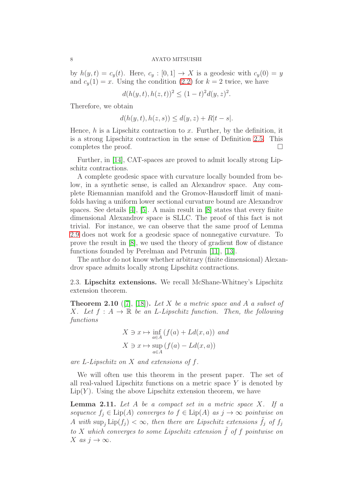by  $h(y, t) = c_y(t)$ . Here,  $c_y : [0, 1] \rightarrow X$  is a geodesic with  $c_y(0) = y$ and  $c_y(1) = x$ . Using the condition [\(2.2\)](#page-6-0) for  $k = 2$  twice, we have

$$
d(h(y, t), h(z, t))^{2} \le (1 - t)^{2} d(y, z)^{2}.
$$

Therefore, we obtain

$$
d(h(y, t), h(z, s)) \le d(y, z) + R|t - s|.
$$

Hence,  $h$  is a Lipschitz contraction to x. Further, by the definition, it is a strong Lipschitz contraction in the sense of Definition [2.5.](#page-5-1) This completes the proof.

Further, in [\[14\]](#page-38-1), CAT-spaces are proved to admit locally strong Lipschitz contractions.

A complete geodesic space with curvature locally bounded from below, in a synthetic sense, is called an Alexandrov space. Any complete Riemannian manifold and the Gromov-Hausdorff limit of manifolds having a uniform lower sectional curvature bound are Alexandrov spaces. See details [\[4\]](#page-37-2), [\[5\]](#page-37-3). A main result in [\[8\]](#page-38-4) states that every finite dimensional Alexandrov space is SLLC. The proof of this fact is not trivial. For instance, we can observe that the same proof of Lemma [2.9](#page-6-1) does not work for a geodesic space of nonnegative curvature. To prove the result in [\[8\]](#page-38-4), we used the theory of gradient flow of distance functions founded by Perelman and Petrunin [\[11\]](#page-38-6), [\[13\]](#page-38-7).

The author do not know whether arbitrary (finite dimensional) Alexandrov space admits locally strong Lipschitz contractions.

2.3. Lipschitz extensions. We recall McShane-Whitney's Lipschitz extension theorem.

<span id="page-7-0"></span>Theorem 2.10 ([\[7\]](#page-38-8), [\[18\]](#page-38-9)). *Let* X *be a metric space and* A *a subset of* X. Let  $f : A \rightarrow \mathbb{R}$  be an L-Lipschitz function. Then, the following *functions*

$$
X \ni x \mapsto \inf_{a \in A} (f(a) + Ld(x, a)) \text{ and}
$$

$$
X \ni x \mapsto \sup_{a \in A} (f(a) - Ld(x, a))
$$

*are* L*-Lipschitz on* X *and extensions of* f*.*

We will often use this theorem in the present paper. The set of all real-valued Lipschitz functions on a metric space  $Y$  is denoted by  $Lip(Y)$ . Using the above Lipschitz extension theorem, we have

<span id="page-7-1"></span>Lemma 2.11. *Let* A *be a compact set in a metric space* X*. If a sequence*  $f_j \in \text{Lip}(A)$  *converges to*  $f \in \text{Lip}(A)$  *as*  $j \to \infty$  *pointwise on* A with  $\sup_j \text{Lip}(f_j) < \infty$ , then there are Lipschitz extensions  $\tilde{f}_j$  of  $f_j$ *to* X which converges to some Lipschitz extension  $\tilde{f}$  of f pointwise on  $X$  *as*  $j \to \infty$ *.*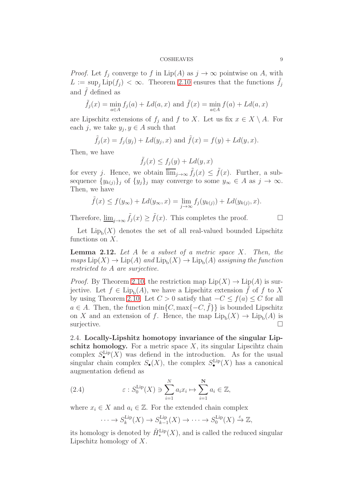*Proof.* Let  $f_j$  converge to f in Lip(A) as  $j \to \infty$  pointwise on A, with  $L := \sup_j \text{Lip}(f_j) < \infty$ . Theorem [2.10](#page-7-0) ensures that the functions  $\tilde{f}_j$ and  $\tilde{f}$  defined as

$$
\tilde{f}_j(x) = \min_{a \in A} f_j(a) + Ld(a, x) \text{ and } \tilde{f}(x) = \min_{a \in A} f(a) + Ld(a, x)
$$

are Lipschitz extensions of  $f_i$  and f to X. Let us fix  $x \in X \setminus A$ . For each j, we take  $y_j, y \in A$  such that

$$
\tilde{f}_j(x) = f_j(y_j) + Ld(y_j, x)
$$
 and  $\tilde{f}(x) = f(y) + Ld(y, x)$ .

Then, we have

$$
\tilde{f}_j(x) \le f_j(y) + Ld(y, x)
$$

for every j. Hence, we obtain  $\overline{\lim}_{j\to\infty} \tilde{f}_j(x) \leq \tilde{f}(x)$ . Further, a subsequence  $\{y_{k(j)}\}_j$  of  $\{y_j\}_j$  may converge to some  $y_\infty \in A$  as  $j \to \infty$ . Then, we have

$$
\tilde{f}(x) \le f(y_{\infty}) + Ld(y_{\infty}, x) = \lim_{j \to \infty} f_j(y_{k(j)}) + Ld(y_{k(j)}, x).
$$

Therefore,  $\underline{\lim}_{j\to\infty} \tilde{f}_j(x) \geq \tilde{f}(x)$ . This completes the proof.  $\Box$ 

Let  $\text{Lip}_b(X)$  denotes the set of all real-valued bounded Lipschitz functions on X.

<span id="page-8-0"></span>Lemma 2.12. *Let* A *be a subset of a metric space* X*. Then, the*  $maps \, Lip(X) \to Lip(A) \, and \, Lip_b(X) \to Lip_b(A) \, assigning \, the \, function$ *restricted to* A *are surjective.*

*Proof.* By Theorem [2.10,](#page-7-0) the restriction map  $\text{Lip}(X) \to \text{Lip}(A)$  is surjective. Let  $f \in \text{Lip}_b(A)$ , we have a Lipschitz extension  $\tilde{f}$  of f to X by using Theorem [2.10.](#page-7-0) Let  $C > 0$  satisfy that  $-C \leq f(a) \leq C$  for all  $a \in A$ . Then, the function min $\{C, \max\{-C, f\}\}\$ is bounded Lipschitz on X and an extension of f. Hence, the map  $\text{Lip}_{b}(X) \to \text{Lip}_{b}(A)$  is surjective.  $\Box$ 

2.4. Locally-Lipshitz homotopy invariance of the singular Lipschitz homology. For a metric space  $X$ , its singular Lipscihtz chain complex  $S_{\bullet}^{\text{Lip}}(X)$  was defiend in the introduction. As for the usual singular chain complex  $S_{\bullet}(X)$ , the complex  $S_{\bullet}^{\text{Lip}}(X)$  has a canonical augmentation defiend as

(2.4) 
$$
\varepsilon : S_0^{\text{Lip}}(X) \ni \sum_{i=1}^N a_i x_i \mapsto \sum_{i=1}^N a_i \in \mathbb{Z},
$$

where  $x_i \in X$  and  $a_i \in \mathbb{Z}$ . For the extended chain complex

<span id="page-8-1"></span>
$$
\cdots \to S_k^{\text{Lip}}(X) \to S_{k-1}^{\text{Lip}}(X) \to \cdots \to S_0^{\text{Lip}}(X) \stackrel{\varepsilon}{\to} \mathbb{Z},
$$

its homology is denoted by  $\tilde{H}_{*}^{\text{Lip}}(X)$ , and is called the reduced singular Lipschitz homology of  $X$ .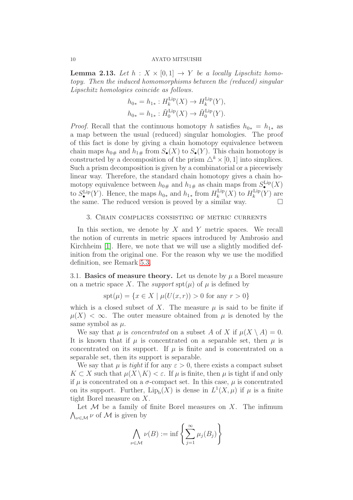<span id="page-9-1"></span>**Lemma 2.13.** Let  $h: X \times [0,1] \rightarrow Y$  be a locally Lipschitz homo*topy. Then the induced homomorphisms between the (reduced) singular Lipschitz homologies coincide as follows.*

$$
h_{0*} = h_{1*} : H_k^{\text{Lip}}(X) \to H_k^{\text{Lip}}(Y),
$$
  

$$
h_{0*} = h_{1*} : \tilde{H}_0^{\text{Lip}}(X) \to \tilde{H}_0^{\text{Lip}}(Y).
$$

*Proof.* Recall that the continuous homotopy h satisfies  $h_{0*} = h_{1*}$  as a map between the usual (reduced) singular homologies. The proof of this fact is done by giving a chain homotopy equivalence between chain maps  $h_{0\#}$  and  $h_{1\#}$  from  $S_{\bullet}(X)$  to  $S_{\bullet}(Y)$ . This chain homotopy is constructed by a decomposition of the prism  $\triangle^k \times [0, 1]$  into simplices. Such a prism decomposition is given by a combinatorial or a piecewisely linear way. Therefore, the standard chain homotopy gives a chain homotopy equivalence between  $h_{0\#}$  and  $h_{1\#}$  as chain maps from  $S^{\text{Lip}}_{\bullet}(X)$ to  $S_{\bullet}^{\text{Lip}}(Y)$ . Hence, the maps  $h_{0*}$  and  $h_{1*}$  from  $H_k^{\text{Lip}}$  $\binom{\text{Lip}}{k}(X)$  to  $H_k^{\text{Lip}}$  $k^{\text{Lip}}(Y)$  are the same. The reduced version is proved by a similar way.  $\square$ 

## <span id="page-9-0"></span>3. Chain complices consisting of metric currents

In this section, we denote by  $X$  and  $Y$  metric spaces. We recall the notion of currents in metric spaces introduced by Ambrosio and Kirchheim [\[1\]](#page-37-0). Here, we note that we will use a slightly modified definition from the original one. For the reason why we use the modified definition, see Remark [5.3.](#page-31-0)

3.1. Basics of measure theory. Let us denote by  $\mu$  a Borel measure on a metric space X. The *support*  $\text{spt}(\mu)$  of  $\mu$  is defined by

$$
spt(\mu) = \{ x \in X \mid \mu(U(x, r)) > 0 \text{ for any } r > 0 \}
$$

which is a closed subset of X. The measure  $\mu$  is said to be finite if  $\mu(X) < \infty$ . The outer measure obtained from  $\mu$  is denoted by the same symbol as  $\mu$ .

We say that  $\mu$  is *concentrated* on a subset A of X if  $\mu(X \setminus A) = 0$ . It is known that if  $\mu$  is concentrated on a separable set, then  $\mu$  is concentrated on its support. If  $\mu$  is finite and is concentrated on a separable set, then its support is separable.

We say that  $\mu$  is *tight* if for any  $\varepsilon > 0$ , there exists a compact subset  $K \subset X$  such that  $\mu(X \setminus K) < \varepsilon$ . If  $\mu$  is finite, then  $\mu$  is tight if and only if  $\mu$  is concentrated on a  $\sigma$ -compact set. In this case,  $\mu$  is concentrated on its support. Further,  $Lip_b(X)$  is dense in  $L^1(X,\mu)$  if  $\mu$  is a finite tight Borel measure on X.

Let  $M$  be a family of finite Borel measures on X. The infimum  $\bigwedge_{\nu \in \mathcal{M}} \nu$  of  $\mathcal M$  is given by

$$
\bigwedge_{\nu \in \mathcal{M}} \nu(B) := \inf \left\{ \sum_{j=1}^{\infty} \mu_j(B_j) \right\}
$$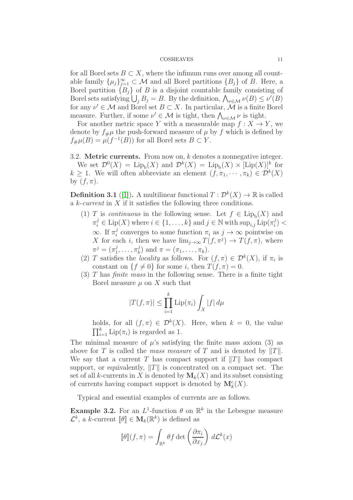for all Borel sets  $B \subset X$ , where the infimum runs over among all countable family  $\{\mu_j\}_{j=1}^{\infty} \subset \mathcal{M}$  and all Borel partitions  $\{B_j\}$  of B. Here, a Borel partition  ${B_i}$  of B is a disjoint countable family consisting of Borel sets satisfying  $\bigcup_j B_j = B$ . By the definition,  $\bigwedge_{\nu \in \mathcal{M}} \nu(B) \le \nu'(B)$ for any  $\nu' \in \mathcal{M}$  and Borel set  $B \subset X$ . In particular,  $\mathcal{M}$  is a finite Borel measure. Further, if some  $\nu' \in \mathcal{M}$  is tight, then  $\bigwedge_{\nu \in \mathcal{M}} \nu$  is tight.

For another metric space Y with a measurable map  $f: X \to Y$ , we denote by  $f_{\#}\mu$  the push-forward measure of  $\mu$  by f which is defined by  $f_{\#}\mu(B) = \mu(f^{-1}(B))$  for all Borel sets  $B \subset Y$ .

3.2. **Metric currents.** From now on,  $k$  denotes a nonnegative integer. We set  $\mathcal{D}^0(X) = \text{Lip}_b(X)$  and  $\mathcal{D}^k(X) = \text{Lip}_b(X) \times [\text{Lip}(X)]^k$  for  $k \geq 1$ . We will often abbreviate an element  $(f, \pi_1, \dots, \pi_k) \in \mathcal{D}^k(X)$ by  $(f, \pi)$ .

<span id="page-10-0"></span>**Definition 3.1** ([\[1\]](#page-37-0)). A multilinear functional  $T: \mathcal{D}^k(X) \to \mathbb{R}$  is called a k-*current* in X if it satisfies the following three conditions.

- (1) T is *continuous* in the following sense. Let  $f \in \text{Lip}_{b}(X)$  and  $\pi_i^j \in \text{Lip}(X)$  where  $i \in \{1, ..., k\}$  and  $j \in \mathbb{N}$  with  $\sup_{i,j} \text{Lip}(\pi_i^j)$  $\binom{J}{i}$  $\infty$ . If  $\pi_i^j$ <sup>*j*</sup> converges to some function  $\pi_i$  as  $j \to \infty$  pointwise on X for each i, then we have  $\lim_{j\to\infty} T(f, \pi^j) \to T(f, \pi)$ , where  $\pi^{j} = (\pi^{j}_{1})$  $j_1, \ldots, \pi_k^j$  $\binom{J}{k}$  and  $\pi = (\pi_1, \ldots, \pi_k)$ .
- (2) T satisfies the *locality* as follows. For  $(f, \pi) \in \mathcal{D}^k(X)$ , if  $\pi_i$  is constant on  $\{f \neq 0\}$  for some i, then  $T(f, \pi) = 0$ .
- (3) T has *finite mass* in the following sense. There is a finite tight Borel measure  $\mu$  on X such that

$$
|T(f,\pi)| \le \prod_{i=1}^k \mathrm{Lip}(\pi_i) \int_X |f| \, d\mu
$$

holds, for all  $(f, \pi) \in \mathcal{D}^k(X)$ . Here, when  $k = 0$ , the value  $\prod_{i=1}^{k}$  Lip $(\pi_i)$  is regarded as 1.

The minimal measure of  $\mu$ 's satisfying the finite mass axiom (3) as above for T is called the *mass measure* of T and is denoted by  $||T||$ . We say that a current T has compact support if  $||T||$  has compact support, or equivalently,  $||T||$  is concentrated on a compact set. The set of all k-currents in X is denoted by  $M_k(X)$  and its subset consisting of currents having compact support is denoted by  $\mathbf{M}_{k}^{c}(X)$ .

Typical and essential examples of currents are as follows.

Example 3.2. For an  $L^1$ -function  $\theta$  on  $\mathbb{R}^k$  in the Lebesgue measure  $\mathcal{L}^k$ , a k-current  $[\![\theta]\!] \in \mathbf{M}_k(\mathbb{R}^k)$  is defined as

$$
\llbracket \theta \rrbracket (f, \pi) = \int_{\mathbb{R}^k} \theta f \det \left( \frac{\partial \pi_i}{\partial x_j} \right) d\mathcal{L}^k(x)
$$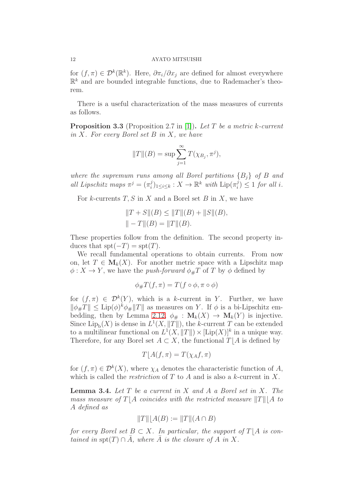for  $(f, \pi) \in \mathcal{D}^k(\mathbb{R}^k)$ . Here,  $\partial \pi_i / \partial x_j$  are defined for almost everywhere  $\mathbb{R}^k$  and are bounded integrable functions, due to Rademacher's theorem.

There is a useful characterization of the mass measures of currents as follows.

<span id="page-11-0"></span>Proposition 3.3 (Proposition 2.7 in [\[1\]](#page-37-0)). *Let* T *be a metric* k*-current in* X*. For every Borel set* B *in* X*, we have*

$$
||T||(B) = \sup \sum_{j=1}^{\infty} T(\chi_{B_j}, \pi^j),
$$

*where the supremum runs among all Borel partitions*  ${B_i}$  *of* B and *all Lipschitz maps*  $\pi^{j} = (\pi^{j}_{i})$  $i_j^{(j)}_{1 \leq i \leq k} : X \to \mathbb{R}^k$  with  $\text{Lip}(\pi_i^j)$  $j_i^j$ )  $\leq 1$  *for all i.* 

For k-currents  $T, S$  in X and a Borel set B in X, we have

$$
||T + S||(B) \le ||T||(B) + ||S||(B),
$$
  

$$
|| - T||(B) = ||T||(B).
$$

These properties follow from the definition. The second property induces that  $\text{spt}(-T) = \text{spt}(T)$ .

We recall fundamental operations to obtain currents. From now on, let  $T \in M_k(X)$ . For another metric space with a Lipschitz map  $\phi: X \to Y$ , we have the *push-forward*  $\phi_{\#}T$  of T by  $\phi$  defined by

$$
\phi_{\#}T(f,\pi)=T(f\circ\phi,\pi\circ\phi)
$$

for  $(f, \pi) \in \mathcal{D}^k(Y)$ , which is a k-current in Y. Further, we have  $\|\phi_{\#}T\| \leq \text{Lip}(\phi)^k \phi_{\#}\|T\|$  as measures on Y. If  $\phi$  is a bi-Lipschitz em-bedding, then by Lemma [2.12,](#page-8-0)  $\phi_{\#} : \mathbf{M}_k(X) \to \mathbf{M}_k(Y)$  is injective. Since  $\text{Lip}_b(X)$  is dense in  $L^1(X, ||T||)$ , the k-current T can be extended to a multilinear functional on  $L^1(X, ||T||) \times [\text{Lip}(X)]^k$  in a unique way. Therefore, for any Borel set  $A \subset X$ , the functional  $T \mid A$  is defined by

$$
T[A(f, \pi) = T(\chi_A f, \pi)
$$

for  $(f, \pi) \in \mathcal{D}^k(X)$ , where  $\chi_A$  denotes the characteristic function of A, which is called the *restriction* of T to A and is also a k-current in X.

<span id="page-11-1"></span>Lemma 3.4. *Let* T *be a current in* X *and* A *a Borel set in* X*. The mass measure of*  $T \mid A$  *coincides with the restricted measure*  $||T|| \mid A$  *to* A *defined as*

$$
||T|| [A(B) := ||T|| (A \cap B)
$$

*for every Borel set*  $B \subset X$ *. In particular, the support of*  $T | A$  *is contained in*  $\text{spt}(T) \cap \overline{A}$ *, where*  $\overline{A}$  *is the closure of*  $A$  *in*  $X$ *.*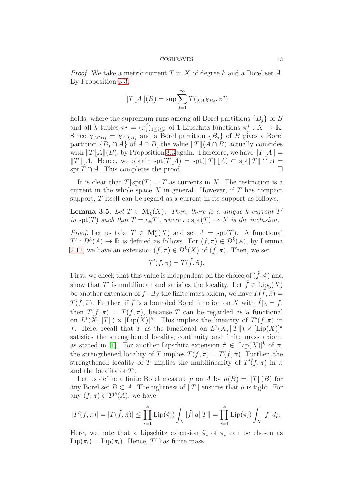*Proof.* We take a metric current T in X of degree k and a Borel set A. By Proposition [3.3,](#page-11-0)

$$
||T||A||(B) = \sup \sum_{j=1}^{\infty} T(\chi_A \chi_{B_j}, \pi^j)
$$

holds, where the supremum runs among all Borel partitions  ${B<sub>i</sub>}$  of B and all k-tuples  $\pi^{j} = (\pi^{j}_{i})$  $\sum_{i=1}^{j}$ <sub>1≤i≤k</sub> of 1-Lipschitz functions  $\pi_i^j$  $i: X \to \mathbb{R}$ . Since  $\chi_{A \cap B_j} = \chi_A \chi_{B_j}$  and a Borel partition  $\{B_j\}$  of B gives a Borel partition  $\{B_i \cap A\}$  of  $A \cap B$ , the value  $||T|| (A \cap B)$  actually coincides with  $||T||A||(B)$ , by Proposition [3.3](#page-11-0) again. Therefore, we have  $||T||A|| =$  $||T||/A$ . Hence, we obtain  $\text{spt}(T|A) = \text{spt}(||T||/A) \subset \text{spt}||T|| \cap \overline{A} =$  $\text{spt } T \cap A$ . This completes the proof.

It is clear that  $T\vert spt(T) = T$  as currents in X. The restriction is a current in the whole space  $X$  in general. However, if  $T$  has compact support, T itself can be regard as a current in its support as follows.

<span id="page-12-0"></span>**Lemma 3.5.** Let  $T \in M_k^c(X)$ . Then, there is a unique k-current  $T'$ *in*  $\text{spt}(T)$  *such that*  $T = \iota_{\#} T'$ *, where*  $\iota : \text{spt}(T) \to X$  *is the inclusion.* 

*Proof.* Let us take  $T \in \mathbf{M}_{k}^{c}(X)$  and set  $A = \text{spt}(T)$ . A functional  $T': \mathcal{D}^k(A) \to \mathbb{R}$  is defined as follows. For  $(f, \pi) \in \mathcal{D}^k(A)$ , by Lemma [2.12,](#page-8-0) we have an extension  $(\tilde{f}, \tilde{\pi}) \in \mathcal{D}^k(X)$  of  $(f, \pi)$ . Then, we set

$$
T'(f, \pi) = T(\tilde{f}, \tilde{\pi}).
$$

First, we check that this value is independent on the choice of  $(\tilde{f}, \tilde{\pi})$  and show that T' is multilinear and satisfies the locality. Let  $\hat{f} \in \text{Lip}_{b}(X)$ be another extension of f. By the finite mass axiom, we have  $T(\tilde{f}, \tilde{\pi}) =$  $T(\hat{f}, \tilde{\pi})$ . Further, if  $\hat{f}$  is a bounded Borel function on X with  $\hat{f}|_A = f$ , then  $T(\hat{f}, \tilde{\pi}) = T(\tilde{f}, \tilde{\pi})$ , because T can be regarded as a functional on  $L^1(X, ||T||) \times [\text{Lip}(X)]^k$ . This implies the linearity of  $T'(f, \pi)$  in f. Here, recall that T as the functional on  $L^1(X, ||T||) \times [\text{Lip}(X)]^k$ satisfies the strengthened locality, continuity and finite mass axiom, as stated in [\[1\]](#page-37-0). For another Lipschitz extension  $\hat{\pi} \in [\text{Lip}(X)]^k$  of  $\pi$ , the strengthened locality of T implies  $T(\tilde{f}, \tilde{\pi}) = T(\tilde{f}, \hat{\pi})$ . Further, the strengthened locality of T implies the multilinearity of  $T'(f, \pi)$  in  $\pi$ and the locality of  $T'$ .

Let us define a finite Borel measure  $\mu$  on A by  $\mu(B) = ||T||(B)$  for any Borel set  $B \subset A$ . The tightness of  $||T||$  ensures that  $\mu$  is tight. For any  $(f, \pi) \in \mathcal{D}^k(A)$ , we have

$$
|T'(f,\pi)| = |T(\tilde{f},\tilde{\pi})| \le \prod_{i=1}^k \mathrm{Lip}(\tilde{\pi}_i) \int_X |\tilde{f}| \, d\|T\| = \prod_{i=1}^k \mathrm{Lip}(\pi_i) \int_X |f| \, d\mu.
$$

Here, we note that a Lipschitz extension  $\tilde{\pi}_i$  of  $\pi_i$  can be chosen as  $\text{Lip}(\tilde{\pi}_i) = \text{Lip}(\pi_i)$ . Hence, T' has finite mass.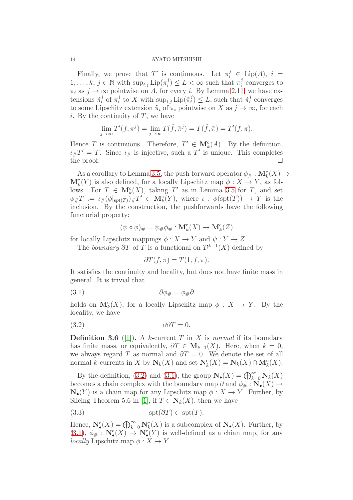Finally, we prove that T' is continuous. Let  $\pi_i^j \in \text{Lip}(A)$ ,  $i =$  $1, \ldots, k, j \in \mathbb{N}$  with  $\sup_{i,j} \mathrm{Lip}(\pi_i^j)$  $\sigma_i^j$ )  $\leq L < \infty$  such that  $\pi_i^j$  $i$  converges to  $\pi_i$  as  $j \to \infty$  pointwise on A, for every i. By Lemma [2.11,](#page-7-1) we have extensions  $\tilde{\pi}_i^j$  $i$  of  $\pi_i^j$  $i$  to X with  $\sup_{i,j}$  Lip $(\tilde{\pi}_i^j)$  $\tilde{t}_i^j$ )  $\leq L$ , such that  $\tilde{\pi}_i^j$  $i$  converges to some Lipschitz extension  $\tilde{\pi}_i$  of  $\pi_i$  pointwise on X as  $j \to \infty$ , for each i. By the continuity of  $T$ , we have

$$
\lim_{j \to \infty} T'(f, \pi^j) = \lim_{j \to \infty} T(\tilde{f}, \tilde{\pi}^j) = T(\tilde{f}, \tilde{\pi}) = T'(f, \pi).
$$

Hence T is continuous. Therefore,  $T' \in \mathbf{M}_{k}^{c}(A)$ . By the definition,  $\iota_{\#}T' = T$ . Since  $\iota_{\#}$  is injective, such a T' is unique. This completes the proof.  $\Box$ 

As a corollary to Lemma [3.5,](#page-12-0) the push-forward operator  $\phi_{\#}: \mathbf{M}^{\mathbf{c}}_k(X) \to$  $\mathbf{M}_{k}^{c}(Y)$  is also defined, for a locally Lipschitz map  $\phi: X \to Y$ , as follows. For  $T \in \mathbf{M}_{k}^{c}(X)$ , taking  $T'$  as in Lemma [3.5](#page-12-0) for  $T$ , and set  $\phi_{\#}T := \iota_{\#}(\phi|_{\text{spt}(T)})_{\#}T' \in \mathbf{M}_{k}(Y),$  where  $\iota : \phi(\text{spt}(T)) \to Y$  is the inclusion. By the construction, the pushforwards have the following functorial property:

$$
(\psi \circ \phi)_{\#} = \psi_{\#} \phi_{\#} : \mathbf{M}^c_k(X) \to \mathbf{M}^c_k(Z)
$$

for locally Lipschitz mappings  $\phi: X \to Y$  and  $\psi: Y \to Z$ .

The *boundary*  $\partial T$  of T is a functional on  $\mathcal{D}^{k-1}(X)$  defined by

<span id="page-13-1"></span><span id="page-13-0"></span>
$$
\partial T(f,\pi) = T(1,f,\pi).
$$

It satisfies the continuity and locality, but does not have finite mass in general. It is trivial that

$$
\partial \phi_{\#} = \phi_{\#} \partial
$$

holds on  $M_k^c(X)$ , for a locally Lipschitz map  $\phi: X \to Y$ . By the locality, we have

$$
(3.2) \t\t \t\t \partial \partial T = 0.
$$

**Definition 3.6** ([\[1\]](#page-37-0)). A k-current T in X is *normal* if its boundary has finite mass, or equivalently,  $\partial T \in M_{k-1}(X)$ . Here, when  $k = 0$ , we always regard T as normal and  $\partial T = 0$ . We denote the set of all normal k-currents in X by  $N_k(X)$  and set  $N_k^c(X) = N_k(X) \cap M_k^c(X)$ .

By the definition, [\(3.2\)](#page-13-0) and [\(3.1\)](#page-13-1), the group  $\mathbf{N}_{\bullet}(X) = \bigoplus_{k=0}^{\infty} \mathbf{N}_{k}(X)$ becomes a chain complex with the boundary map  $\partial$  and  $\phi_{\#}: \mathbf{N}_{\bullet}(X) \to$  $\mathbf{N}_{\bullet}(Y)$  is a chain map for any Lipschitz map  $\phi: X \to Y$ . Further, by Slicing Theorem 5.6 in [\[1\]](#page-37-0), if  $T \in N_k(X)$ , then we have

$$
(3.3) \t spt(\partial T) \subset spt(T).
$$

Hence,  $\mathbf{N}_{\bullet}^{\mathsf{c}}(X) = \bigoplus_{k=0}^{\infty} \mathbf{N}_{k}^{\mathsf{c}}(X)$  is a subcomplex of  $\mathbf{N}_{\bullet}(X)$ . Further, by  $(3.1), \phi_{\#}: \mathbf{N}_{\bullet}^{\mathsf{c}}(X) \to \mathbf{N}_{\bullet}^{\mathsf{c}}(Y)$  $(3.1), \phi_{\#}: \mathbf{N}_{\bullet}^{\mathsf{c}}(X) \to \mathbf{N}_{\bullet}^{\mathsf{c}}(Y)$  is well-defined as a chian map, for any *locally* Lipschitz map  $\phi: X \to Y$ .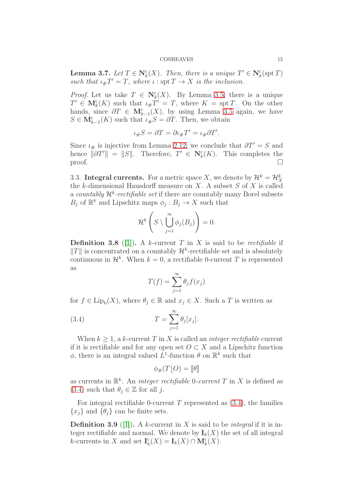<span id="page-14-1"></span>**Lemma 3.7.** *Let*  $T \in \mathbb{N}_k^c(X)$ *. Then, there is a unique*  $T' \in \mathbb{N}_k^c(\text{spt } T)$ such that  $\iota_{\#}T' = T$ , where  $\iota : \operatorname{spt} T \to X$  *is the inclusion.* 

*Proof.* Let us take  $T \in \mathbb{N}_{k}^{c}(X)$ . By Lemma [3.5,](#page-12-0) there is a unique  $T' \in \mathbf{M}_{k}^{c}(K)$  such that  $\iota_{\#}T' = T$ , where  $K = \operatorname{spt} T$ . On the other hands, since  $\partial T \in \mathbf{M}_{k-1}^c(X)$ , by using Lemma [3.5](#page-12-0) again, we have  $S \in \mathbf{M}_{k-1}^{\mathbf{c}}(K)$  such that  $\iota_{\#}S = \partial T$ . Then, we obtain

$$
\iota_{\#}S = \partial T = \partial \iota_{\#}T' = \iota_{\#}\partial T'.
$$

Since  $\iota_{\#}$  is injective from Lemma [2.12,](#page-8-0) we conclude that  $\partial T' = S$  and hence  $\|\partial T'\| = \|S\|$ . Therefore,  $T' \in \mathbb{N}_{k}^{c}(K)$ . This completes the proof.  $\Box$ 

3.3. **Integral currents.** For a metric space X, we denote by  $\mathcal{H}^k = \mathcal{H}_X^k$ the k-dimensional Hausdorff measure on  $X$ . A subset  $S$  of  $X$  is called a *countably*  $\mathcal{H}^k$ -rectifiable set if there are countably many Borel subsets  $B_j$  of  $\mathbb{R}^k$  and Lipschitz maps  $\phi_j : B_j \to X$  such that

$$
\mathcal{H}^k\left(S\setminus\bigcup_{j=1}^\infty\phi_j(B_j)\right)=0.
$$

**Definition 3.8** ([\[1\]](#page-37-0)). A k-current T in X is said to be *rectifiable* if  $||T||$  is concentrated on a countably  $\mathcal{H}^k$ -rectifiable set and is absolutely continuous in  $\mathcal{H}^k$ . When  $k=0$ , a rectifiable 0-current T is represented as

<span id="page-14-0"></span>
$$
T(f) = \sum_{j=1}^{\infty} \theta_j f(x_j)
$$

for  $f \in \text{Lip}_b(X)$ , where  $\theta_j \in \mathbb{R}$  and  $x_j \in X$ . Such a T is written as

(3.4) 
$$
T = \sum_{j=1}^{\infty} \theta_j [x_j].
$$

When  $k \geq 1$ , a k-current T in X is called an *integer rectifiable* current if it is rectifiable and for any open set  $O \subset X$  and a Lipschitz function  $\phi$ , there is an integral valued  $L^1$ -function  $\theta$  on  $\mathbb{R}^k$  such that

$$
\phi_{\#}(T[O) = [\![\theta]\!]
$$

as currents in  $\mathbb{R}^k$ . An *integer rectifiable* 0*-current* T in X is defined as  $(3.4)$  such that  $\theta_i \in \mathbb{Z}$  for all j.

For integral rectifiable 0-current  $T$  represented as  $(3.4)$ , the families  ${x_i}$  and  ${\theta_i}$  can be finite sets.

Definition 3.9 ([\[1\]](#page-37-0)). A k-current in X is said to be *integral* if it is integer rectifiable and normal. We denote by  $I_k(X)$  the set of all integral k-currents in X and set  $I_k^c(X) = I_k(X) \cap M_k^c(X)$ .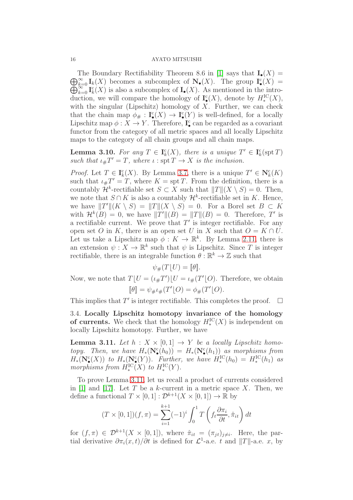$\bigoplus_{k=0}^{\infty} I_k(X)$  becomes a subcomplex of  $\mathbf{N}_{\bullet}(X)$ . The group  $\mathbf{I}_{\bullet}^{\mathbf{c}}(X)$  = The Boundary Rectifiability Theorem 8.6 in [\[1\]](#page-37-0) says that  $\mathbf{I}_{\bullet}(X) =$  $\bigoplus_{k=0}^{\infty} \mathbf{I}_{k}^{c}(X)$  is also a subcomplex of  $\mathbf{I}_{\bullet}(X)$ . As mentioned in the intro-<br> $\bigoplus_{k=0}^{\infty} \mathbf{I}_{k}^{c}(X)$  is also a subcomplex of  $\mathbf{I}_{\bullet}(X)$ . As mentioned in the introduction, we will compare the homology of  $\mathbf{I}^{\mathsf{c}}_{\bullet}(X)$ , denote by  $H^{\mathrm{IC}}_{*}(X)$ , with the singular (Lipschitz) homology of  $X$ . Further, we can check that the chain map  $\phi_{\#}: \mathbf{I}^c_{\bullet}(X) \to \mathbf{I}^c_{\bullet}(Y)$  is well-defined, for a locally Lipschitz map  $\phi: X \to Y$ . Therefore,  $\mathbf{I}^{\mathbf{c}}_{\bullet}$  can be regarded as a covariant functor from the category of all metric spaces and all locally Lipschitz maps to the category of all chain groups and all chain maps.

**Lemma 3.10.** For any  $T \in I_k^c(X)$ , there is a unique  $T' \in I_k^c(\text{spt } T)$ such that  $\iota_{\#}T' = T$ , where  $\iota : \operatorname{spt} T \to X$  *is the inclusion.* 

*Proof.* Let  $T \in \mathbf{I}_k^c(X)$ . By Lemma [3.7,](#page-14-1) there is a unique  $T' \in \mathbf{N}_k^c(K)$ such that  $\iota_{\#}T' = T$ , where  $K = \text{spr } T$ . From the definition, there is a countably  $\mathcal{H}^k$ -rectifiable set  $S \subset X$  such that  $||T||(X \setminus S) = 0$ . Then, we note that  $S \cap K$  is also a countably  $\mathcal{H}^k$ -rectifiable set in K. Hence, we have  $||T'||(K \setminus S) = ||T||(X \setminus S) = 0$ . For a Borel set  $B \subset K$ with  $\mathcal{H}^k(B) = 0$ , we have  $||T'||(B) = ||T||(B) = 0$ . Therefore, T' is a rectifiable current. We prove that  $T'$  is integer rectifiable. For any open set O in K, there is an open set U in X such that  $O = K \cap U$ . Let us take a Lipschitz map  $\phi: K \to \mathbb{R}^k$ . By Lemma [2.11,](#page-7-1) there is an extension  $\psi: X \to \mathbb{R}^k$  such that  $\psi$  is Lipschitz. Since T is integer rectifiable, there is an integrable function  $\theta : \mathbb{R}^k \to \mathbb{Z}$  such that

 $\psi_{\#}(T|U) = \llbracket \theta \rrbracket.$ 

Now, we note that  $T[U=(\iota_{\#}T')[U=\iota_{\#}(T'[O)]$ . Therefore, we obtain  $[\![\theta]\!] = \psi_{\#}\iota_{\#}(T'[\![O]\!]) = \phi_{\#}(T'[\![O]\!]).$ 

This implies that  $T'$  is integer rectifiable. This completes the proof.  $\Box$ 

3.4. Locally Lipschitz homotopy invariance of the homology of currents. We check that the homology  $H_*^{\mathrm{IC}}(X)$  is independent on locally Lipschitz homotopy. Further, we have

<span id="page-15-0"></span>**Lemma 3.11.** Let  $h: X \times [0,1] \rightarrow Y$  be a locally Lipschitz homo*topy.* Then, we have  $H_*(\mathbf{N}_\bullet^{\mathbf{c}}(h_0)) = H_*(\mathbf{N}_\bullet^{\mathbf{c}}(h_1))$  as morphisms from  $H_*(\mathbf N^\mathbf{c}_\bullet(X))$  *to*  $H_*(\mathbf N^\mathbf{c}_\bullet(Y))$ *. Further, we have*  $H_*^{\rm IC}(h_0) = H_*^{\rm IC}(h_1)$  *as* morphisms from  $H_*^{\mathrm{IC}}(X)$  to  $H_*^{\mathrm{IC}}(Y)$ .

To prove Lemma [3.11,](#page-15-0) let us recall a product of currents considered in [\[1\]](#page-37-0) and [\[17\]](#page-38-10). Let T be a k-current in a metric space X. Then, we define a functional  $T \times [0,1] : \mathcal{D}^{k+1}(X \times [0,1]) \to \mathbb{R}$  by

$$
(T \times [0, 1])(f, \pi) = \sum_{i=1}^{k+1} (-1)^i \int_0^1 T\left(f_t \frac{\partial \pi_i}{\partial t}, \hat{\pi}_{it}\right) dt
$$

for  $(f, \pi) \in \mathcal{D}^{k+1}(X \times [0,1])$ , where  $\hat{\pi}_{it} = (\pi_{jt})_{j \neq i}$ . Here, the partial derivative  $\partial \pi_i(x,t)/\partial t$  is defined for  $\mathcal{L}^1$ -a.e. t and  $||T||$ -a.e. x, by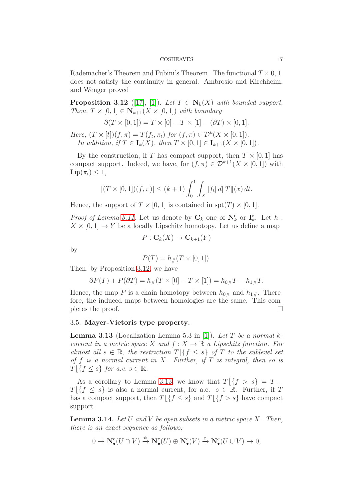Rademacher's Theorem and Fubini's Theorem. The functional  $T \times [0, 1]$ does not satisfy the continuity in general. Ambrosio and Kirchheim, and Wenger proved

<span id="page-16-0"></span>**Proposition 3.12** ([\[17\]](#page-38-10), [\[1\]](#page-37-0)). Let  $T \in \mathbb{N}_k(X)$  with bounded support. *Then,*  $T \times [0, 1] \in \mathbb{N}_{k+1}(X \times [0, 1])$  *with boundary* 

$$
\partial(T \times [0,1]) = T \times [0] - T \times [1] - (\partial T) \times [0,1].
$$

*Here,*  $(T \times [t])(f, \pi) = T(f_t, \pi_t)$  *for*  $(f, \pi) \in \mathcal{D}^k(X \times [0, 1]).$ *In addition, if*  $T \in I_k(X)$ *, then*  $T \times [0, 1] \in I_{k+1}(X \times [0, 1])$ *.* 

By the construction, if T has compact support, then  $T \times [0, 1]$  has compact support. Indeed, we have, for  $(f, \pi) \in \mathcal{D}^{k+1}(X \times [0, 1])$  with  $\text{Lip}(\pi_i) \leq 1$ ,

$$
|(T \times [0,1])(f,\pi)| \le (k+1) \int_0^1 \int_X |f_t| \, d||T|| (x) \, dt.
$$

Hence, the support of  $T \times [0, 1]$  is contained in spt $(T) \times [0, 1]$ .

*Proof of Lemma [3.11.](#page-15-0)* Let us denote by  $\mathbf{C}_k$  one of  $\mathbf{N}_k^c$  or  $\mathbf{I}_k^c$ . Let  $h$ :  $X \times [0,1] \rightarrow Y$  be a locally Lipschitz homotopy. Let us define a map

$$
P: \mathbf{C}_k(X) \to \mathbf{C}_{k+1}(Y)
$$

by

$$
P(T) = h_{\#}(T \times [0, 1]).
$$

Then, by Proposition [3.12,](#page-16-0) we have

$$
\partial P(T) + P(\partial T) = h_{\#}(T \times [0] - T \times [1]) = h_{0\#}T - h_{1\#}T.
$$

Hence, the map P is a chain homotopy between  $h_{0\#}$  and  $h_{1\#}$ . Therefore, the induced maps between homologies are the same. This completes the proof.  $\Box$ 

## 3.5. Mayer-Vietoris type property.

<span id="page-16-1"></span>Lemma 3.13 (Localization Lemma 5.3 in [\[1\]](#page-37-0)). *Let* T *be a normal* k*current in a metric space* X *and*  $f: X \to \mathbb{R}$  *a Lipschitz function. For almost all*  $s \in \mathbb{R}$ *, the restriction*  $T | \{ f \leq s \}$  *of* T *to the sublevel set of* f *is a normal current in* X*. Further, if* T *is integral, then so is*  $T \mid \{f \leq s\}$  *for a.e.*  $s \in \mathbb{R}$ *.* 

As a corollary to Lemma [3.13,](#page-16-1) we know that  $T\left|\left\{f\right\rangle s\right\}=T T\left[\{f \leq s\} \right]$  is also a normal current, for a.e.  $s \in \mathbb{R}$ . Further, if T has a compact support, then  $T \mid \{f \leq s\}$  and  $T \mid \{f > s\}$  have compact support.

<span id="page-16-2"></span>Lemma 3.14. *Let* U *and* V *be open subsets in a metric space* X*. Then, there is an exact sequence as follows.*

$$
0 \to \mathbf{N}_{\bullet}^{\text{c}}(U \cap V) \xrightarrow{\psi} \mathbf{N}_{\bullet}^{\text{c}}(U) \oplus \mathbf{N}_{\bullet}^{\text{c}}(V) \xrightarrow{\varepsilon} \mathbf{N}_{\bullet}^{\text{c}}(U \cup V) \to 0,
$$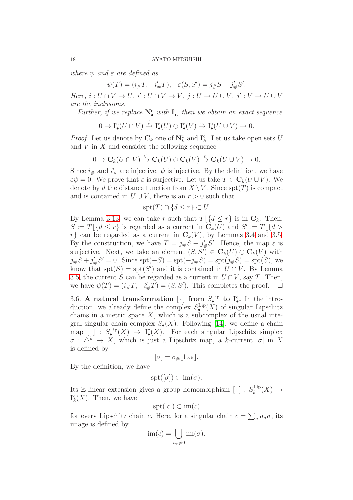*where*  $\psi$  *and*  $\varepsilon$  *are defined as* 

 $\psi(T) = (i_{\#}T, -i'_{\#}T), \quad \varepsilon(S, S') = j_{\#}S + j'_{\#}S'.$ 

*Here,*  $i: U \cap V \to U$ ,  $i': U \cap V \to V$ ,  $j: U \to U \cup V$ ,  $j': V \to U \cup V$ *are the inclusions.*

Further, if we replace  $N_{\bullet}^{c}$  with  $I_{\bullet}^{c}$ , then we obtain an exact sequence

$$
0 \to \mathbf{I}_{\bullet}^{\mathbf{c}}(U \cap V) \xrightarrow{\psi} \mathbf{I}_{\bullet}^{\mathbf{c}}(U) \oplus \mathbf{I}_{\bullet}^{\mathbf{c}}(V) \xrightarrow{\varepsilon} \mathbf{I}_{\bullet}^{\mathbf{c}}(U \cup V) \to 0.
$$

*Proof.* Let us denote by  $\mathbf{C}_k$  one of  $\mathbf{N}_k^c$  and  $\mathbf{I}_k^c$ . Let us take open sets U and  $V$  in  $X$  and consider the following sequence

$$
0 \to \mathbf{C}_k(U \cap V) \xrightarrow{\psi} \mathbf{C}_k(U) \oplus \mathbf{C}_k(V) \xrightarrow{\varepsilon} \mathbf{C}_k(U \cup V) \to 0.
$$

Since  $i_{\#}$  and  $i'_{\#}$  are injective,  $\psi$  is injective. By the definition, we have  $\varepsilon\psi = 0$ . We prove that  $\varepsilon$  is surjective. Let us take  $T \in \mathbf{C}_k(U \cup V)$ . We denote by d the distance function from  $X \setminus V$ . Since  $\text{spt}(T)$  is compact and is contained in  $U \cup V$ , there is an  $r > 0$  such that

$$
\text{spt}(T) \cap \{d \le r\} \subset U.
$$

By Lemma [3.13,](#page-16-1) we can take r such that  $T \mid \{d \leq r\}$  is in  $\mathbb{C}_k$ . Then,  $S := T \left[ \{ d \leq r \} \right]$  is regarded as a current in  $\mathbf{C}_k(U)$  and  $S' := T \left[ \{ d >$  $r$  can be regarded as a current in  $\mathbb{C}_k(V)$ , by Lemmas [3.4](#page-11-1) and [3.5.](#page-12-0) By the construction, we have  $T = j_{\#}S + j_{\#}'S'$ . Hence, the map  $\varepsilon$  is surjective. Next, we take an element  $(S, S') \in \mathbf{C}_k(U) \oplus \mathbf{C}_k(V)$  with  $j_{\#}S + j_{\#}'S' = 0$ . Since  $\text{spt}(-S) = \text{spt}(-j_{\#}S) = \text{spt}(j_{\#}S) = \text{spt}(S)$ , we know that  $\text{spt}(S) = \text{spt}(S')$  and it is contained in  $U \cap V$ . By Lemma [3.5,](#page-12-0) the current S can be regarded as a current in  $U \cap V$ , say T. Then, we have  $\psi(T) = (i_{\#}T, -i'_{\#}T) = (S, S')$ . This completes the proof.  $\Box$ 

3.6. A natural transformation [ $\cdot$ ] from  $S^{\text{Lip}}_{\bullet}$  to  $I_{\bullet}^{\text{c}}$ . In the introduction, we already define the complex  $S_{\bullet}^{\text{Lip}}(X)$  of singular Lipschitz chains in a metric space  $X$ , which is a subcomplex of the usual integral singular chain complex  $S_{\bullet}(X)$ . Following [\[14\]](#page-38-1), we define a chain map  $[\cdot] : S^{\text{Lip}}_{\bullet}(X) \to \mathbf{I}^{\text{c}}_{\bullet}(X)$ . For each singular Lipschitz simplex  $\sigma : \Delta^k \to X$ , which is just a Lipschitz map, a k-current  $[\sigma]$  in X is defined by

$$
[\sigma]=\sigma_{\#}\llbracket 1_{\triangle^k}\rrbracket.
$$

By the definition, we have

$$
\operatorname{spt}([\sigma]) \subset \operatorname{im}(\sigma).
$$

Its Z-linear extension gives a group homomorphism  $[\cdot] : S_k^{\text{Lip}}$  $_{k}^{\text{Lip}}(X) \rightarrow$  $\mathbf{I}_{k}^{c}(X)$ . Then, we have

$$
\text{spt}([c]) \subset \text{im}(c)
$$

for every Lipschitz chain c. Here, for a singular chain  $c = \sum_{\sigma} a_{\sigma} \sigma$ , its image is defined by

$$
\mathrm{im}(c) = \bigcup_{a_{\sigma} \neq 0} \mathrm{im}(\sigma).
$$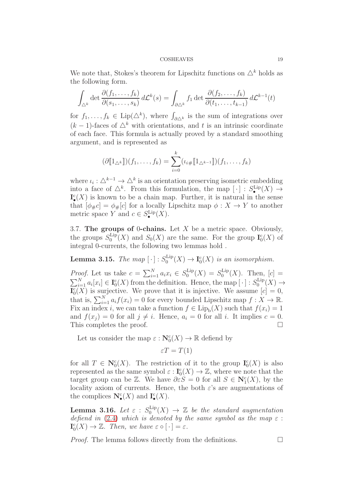We note that, Stokes's theorem for Lipschitz functions on  $\Delta^k$  holds as the following form.

$$
\int_{\Delta^k} \det \frac{\partial(f_1, \dots, f_k)}{\partial(s_1, \dots, s_k)} d\mathcal{L}^k(s) = \int_{\partial \Delta^k} f_1 \det \frac{\partial(f_2, \dots, f_k)}{\partial(t_1, \dots, t_{k-1})} d\mathcal{L}^{k-1}(t)
$$

for  $f_1, \ldots, f_k \in \text{Lip}(\Delta^k)$ , where  $\int_{\partial \Delta^k}$  is the sum of integrations over  $(k-1)$ -faces of  $\Delta^k$  with orientations, and t is an intrinsic coordinate of each face. This formula is actually proved by a standard smoothing argument, and is represented as

$$
(\partial [\![1_{\triangle^k}]\!])(f_1,\ldots,f_k)=\sum_{i=0}^k(\iota_{i\#}[\![1_{\triangle^{k-1}}]\!])(f_1,\ldots,f_k)
$$

where  $\iota_i : \Delta^{k-1} \to \Delta^k$  is an orientation preserving isometric embedding into a face of  $\Delta^k$ . From this formulation, the map  $[\cdot] : S^{\text{Lip}}_{\bullet}(X) \to$  $\mathbf{I}^{\mathsf{c}}_\bullet(X)$  is known to be a chain map. Further, it is natural in the sense that  $[\phi_{\#}c] = \phi_{\#}[c]$  for a locally Lipschitz map  $\phi: X \to Y$  to another metric space Y and  $c \in S_{\bullet}^{\text{Lip}}(X)$ .

3.7. The groups of 0-chains. Let  $X$  be a metric space. Obviously, the groups  $S_0^{\text{Lip}}$  $\mathcal{L}_{0}^{\text{Lip}}(X)$  and  $S_{0}(X)$  are the same. For the group  $\mathbf{I}_{0}^{\text{c}}(X)$  of integral 0-currents, the following two lemmas hold .

<span id="page-18-0"></span>Lemma 3.15. *The map*  $[\cdot]$  :  $S_0^{\text{Lip}}$  $I_0^{\text{Lip}}(X) \to I_0^{\text{c}}(X)$  is an isomorphism.

*Proof.* Let us take  $c = \sum_{i=1}^{N} a_i x_i \in S_0^{\text{Lip}}$  $S_0^{\text{Lip}}(X) = S_0^{\text{Lip}}$  $_{0}^{\text{Lip}}(X)$ . Then,  $[c] =$  $\sum_{i=1}^{N} a_i [x_i] \in I_0^c(X)$  from the definition. Hence, the map  $[\cdot] : S_0^{\text{Lip}}$  $_0^{\text{Lip}}(X) \rightarrow$  $\mathbf{I}_{0}^{\mathsf{c}}(X)$  is surjective. We prove that it is injective. We assume  $[c] = 0$ , that is,  $\sum_{i=1}^{N} a_i f(x_i) = 0$  for every bounded Lipschitz map  $f : X \to \mathbb{R}$ . Fix an index *i*, we can take a function  $f \in \text{Lip}_{b}(X)$  such that  $f(x_i) = 1$ and  $f(x_i) = 0$  for all  $j \neq i$ . Hence,  $a_i = 0$  for all i. It implies  $c = 0$ . This completes the proof.

Let us consider the map  $\varepsilon : \mathbf{N}_0^{\mathsf{c}}(X) \to \mathbb{R}$  defiend by

$$
\varepsilon T = T(1)
$$

for all  $T \in \mathbb{N}_0^c(X)$ . The restriction of it to the group  $\mathbf{I}_0^c(X)$  is also represented as the same symbol  $\varepsilon : \mathbf{I}^{\mathsf{c}}_0(X) \to \mathbb{Z}$ , where we note that the target group can be Z. We have  $\partial \varepsilon S = 0$  for all  $S \in \mathbb{N}_1^c(X)$ , by the locality axiom of currents. Hence, the both  $\varepsilon$ 's are augmentations of the complices  $\mathbf{N}_{\bullet}^{\mathbf{c}}(X)$  and  $\mathbf{I}_{\bullet}^{\mathbf{c}}(X)$ .

<span id="page-18-1"></span> ${\bf Lemma \ \ 3.16.} \ \ Let \ \varepsilon \, : \, S^{\rm Lip}_0$  $_0^{\text{Lip}}(X) \rightarrow \mathbb{Z}$  *be the standard augmentation defiend in* [\(2.4\)](#page-8-1) *which is denoted by the same symbol as the map*  $\varepsilon$ :  $\mathbf{I}_{0}^{\mathsf{c}}(X) \to \mathbb{Z}$ *. Then, we have*  $\varepsilon \circ [\cdot] = \varepsilon$ *.* 

*Proof.* The lemma follows directly from the definitions.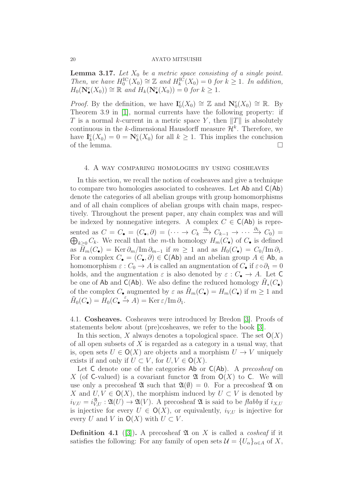<span id="page-19-1"></span>**Lemma 3.17.** Let  $X_0$  be a metric space consisting of a single point. *Then, we have*  $H_0^{\text{IC}}(X_0) \cong \mathbb{Z}$  *and*  $H_k^{\text{IC}}(X_0) = 0$  *for*  $k \geq 1$ *. In addition,*  $H_0(\mathbf{N}_\bullet^{\mathbf{c}}(X_0)) \cong \mathbb{R}$  *and*  $H_k(\mathbf{N}_\bullet^{\mathbf{c}}(X_0)) = 0$  *for*  $k \geq 1$ *.* 

*Proof.* By the definition, we have  $I_0^c(X_0) \cong \mathbb{Z}$  and  $N_0^c(X_0) \cong \mathbb{R}$ . By Theorem 3.9 in [\[1\]](#page-37-0), normal currents have the following property: if T is a normal k-current in a metric space Y, then  $||T||$  is absolutely continuous in the k-dimensional Hausdorff measure  $\mathcal{H}^k$ . Therefore, we have  $I_k^c(X_0) = 0 = \mathbb{N}_k^c(X_0)$  for all  $k \geq 1$ . This implies the conclusion of the lemma.  $\Box$ 

## <span id="page-19-0"></span>4. A way comparing homologies by using cosheaves

In this section, we recall the notion of cosheaves and give a technique to compare two homologies associated to cosheaves. Let Ab and C(Ab) denote the categories of all abelian groups with group homomorphisms and of all chain complices of abelian groups with chain maps, respectively. Throughout the present paper, any chain complex was and will be indexed by nonnegative integers. A complex  $C \in C(\mathsf{Ab})$  is represented as  $C = C_{\bullet} = (C_{\bullet}, \partial) = (\cdots \to C_k \stackrel{\partial_k}{\to} C_{k-1} \to \cdots \stackrel{\partial_1}{\to} C_k$  $\oplus$  $\stackrel{\circ_1}{\longrightarrow} C_0$  =  $_{k\geq 0} C_k$ . We recall that the m-th homology  $H_m(C_{\bullet})$  of  $C_{\bullet}$  is defined as  $\overline{H}_m(C_\bullet) = \text{Ker }\partial_m/\text{Im }\partial_{m-1}$  if  $m \geq 1$  and as  $H_0(C_\bullet) = C_0/\text{Im }\partial_1$ . For a complex  $C_{\bullet} = (C_{\bullet}, \partial) \in C(\mathsf{Ab})$  and an abelian group  $A \in \mathsf{Ab}$ , a homomorphism  $\varepsilon$  :  $C_0 \to A$  is called an augmentation of  $C_{\bullet}$  if  $\varepsilon \circ \partial_1 = 0$ holds, and the augmentation  $\varepsilon$  is also denoted by  $\varepsilon : C_{\bullet} \to A$ . Let C be one of Ab and  $\mathsf{C}(\mathsf{Ab})$ . We also define the reduced homology  $\tilde{H}_*(C_\bullet)$ of the complex  $C_{\bullet}$  augmented by  $\varepsilon$  as  $H_m(C_{\bullet}) = H_m(C_{\bullet})$  if  $m \geq 1$  and  $\widetilde{H}_0(C_\bullet) = H_0(C_\bullet \xrightarrow{\varepsilon} A) = \text{Ker} \,\varepsilon / \text{Im} \,\partial_1.$ 

4.1. Cosheaves. Cosheaves were introduced by Bredon [\[3\]](#page-37-1). Proofs of statements below about (pre)cosheaves, we refer to the book [\[3\]](#page-37-1).

In this section, X always denotes a topological space. The set  $O(X)$ of all open subsets of  $X$  is regarded as a category in a usual way, that is, open sets  $U \in \mathsf{O}(X)$  are objects and a morphism  $U \to V$  uniquely exists if and only if  $U \subset V$ , for  $U, V \in O(X)$ .

Let C denote one of the categories Ab or C(Ab). A *precosheaf* on X (of C-valued) is a covariant functor  $\mathfrak A$  from  $O(X)$  to C. We will use only a precosheaf  $\mathfrak{A}$  such that  $\mathfrak{A}(\emptyset) = 0$ . For a precosheaf  $\mathfrak{A}$  on X and  $U, V \in \mathcal{O}(X)$ , the morphism induced by  $U \subset V$  is denoted by  $i_{V,U} = i_{V,U}^{\mathfrak{A}} : \mathfrak{A}(U) \to \mathfrak{A}(V)$ . A precosheaf  $\mathfrak{A}$  is said to be *flabby* if  $i_{X,U}$ is injective for every  $U \in \mathsf{O}(X)$ , or equivalently,  $i_{V,U}$  is injective for every U and V in  $O(X)$  with  $U \subset V$ .

**Definition 4.1** ([\[3\]](#page-37-1)). A precosheaf  $\mathfrak{A}$  on X is called a *cosheaf* if it satisfies the following: For any family of open sets  $\mathcal{U} = \{U_{\alpha}\}_{{\alpha \in A}}$  of X,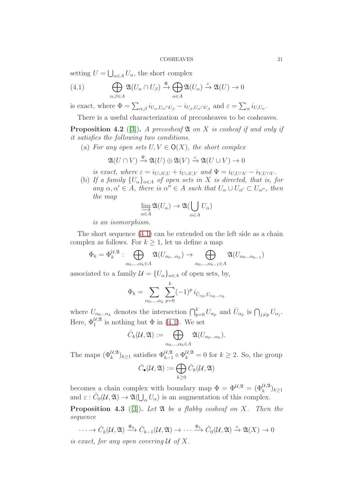setting  $U = \bigcup_{\alpha \in A} U_{\alpha}$ , the short complex

<span id="page-20-0"></span>(4.1) 
$$
\bigoplus_{\alpha,\beta\in A}\mathfrak{A}(U_{\alpha}\cap U_{\beta})\xrightarrow{\Phi}\bigoplus_{\alpha\in A}\mathfrak{A}(U_{\alpha})\xrightarrow{\varepsilon}\mathfrak{A}(U)\to 0
$$

is exact, where  $\Phi = \sum_{\alpha,\beta} i_{U_{\alpha},U_{\alpha} \cap U_{\beta}} - i_{U_{\beta},U_{\alpha} \cap U_{\beta}}$  and  $\varepsilon = \sum_{\alpha} i_{U,U_{\alpha}}$ .

There is a useful characterization of precosheaves to be cosheaves.

<span id="page-20-1"></span>**Proposition 4.2** ([\[3\]](#page-37-1)). A precosheaf **2** on X is cosheaf if and only if *it satisfies the following two conditions.*

(a) For any open sets  $U, V \in O(X)$ , the short complex

$$
{\mathfrak A}(U \cap V) \stackrel{\Psi}{\to} {\mathfrak A}(U) \oplus {\mathfrak A}(V) \stackrel{\varepsilon}{\to} {\mathfrak A}(U \cup V) \to 0
$$

*is exact, where*  $\varepsilon = i_{U\cup V,U} + i_{U\cup V,V}$  *and*  $\Psi = i_{U,U\cap V} - i_{V,U\cap V}$ *.* 

(b) If a family  $\{U_{\alpha}\}_{{\alpha \in A}}$  of open sets in X is directed, that is, for  $any \alpha, \alpha' \in A$ *, there is*  $\alpha'' \in A$  *such that*  $U_{\alpha} \cup U_{\alpha'} \subset U_{\alpha''}$ *, then the map*

$$
\varinjlim_{\alpha \in A} \mathfrak{A}(U_{\alpha}) \to \mathfrak{A}(\bigcup_{\alpha \in A} U_{\alpha})
$$

*is an isomorphism.*

The short sequence [\(4.1\)](#page-20-0) can be extended on the left side as a chain complex as follows. For  $k \geq 1$ , let us define a map

$$
\Phi_k = \Phi_k^{\mathcal{U}, \mathfrak{A}} : \bigoplus_{\alpha_0, \dots, \alpha_k \in A} \mathfrak{A}(U_{\alpha_0 \dots \alpha_k}) \to \bigoplus_{\alpha_0, \dots, \alpha_{k-1} \in A} \mathfrak{A}(U_{\alpha_0 \dots \alpha_{k-1}})
$$

associated to a family  $\mathcal{U} = \{U_{\alpha}\}_{{\alpha \in A}}$  of open sets, by,

$$
\Phi_k = \sum_{\alpha_0, \dots, \alpha_k} \sum_{p=0}^k (-1)^p i_{\hat{U}_{\alpha_p}, U_{\alpha_0 \dots \alpha_k}}
$$

where  $U_{\alpha_0...\alpha_k}$  denotes the intersection  $\bigcap_{p=0}^k U_{\alpha_p}$  and  $\hat{U}_{\alpha_p}$  is  $\bigcap_{j\neq p} U_{\alpha_j}$ . Here,  $\Phi_1^{\mathcal{U}, \mathfrak{A}}$  is nothing but  $\Phi$  in [\(4.1\)](#page-20-0). We set

$$
\check{C}_k(\mathcal{U}, \mathfrak{A}) := \bigoplus_{\alpha_0, \dots, \alpha_k \in A} \mathfrak{A}(U_{\alpha_0 \dots \alpha_k}).
$$

The maps  $(\Phi_k^{\mathcal{U}, \mathfrak{A}})_{k \geq 1}$  satisfies  $\Phi_{k-1}^{\mathcal{U}, \mathfrak{A}} \circ \Phi_k^{\mathcal{U}, \mathfrak{A}} = 0$  for  $k \geq 2$ . So, the group

$$
\check{C}_{\bullet}(\mathcal{U}, \mathfrak{A}) := \bigoplus_{k \geq 0} \check{C}_{k}(\mathcal{U}, \mathfrak{A})
$$

becomes a chain complex with boundary map  $\Phi = \Phi^{\mathcal{U}, \mathfrak{A}} = (\Phi_k^{\mathcal{U}, \mathfrak{A}})_{k \geq 1}$ and  $\varepsilon$  :  $\check{C}_0(\mathcal{U}, \mathfrak{A}) \to \mathfrak{A}(\bigcup_{\alpha} U_{\alpha})$  is an augmentation of this complex.

Proposition 4.3 ([\[3\]](#page-37-1)). Let  $\mathfrak A$  be a flabby cosheaf on X. Then the *sequence*

 $\cdots \to \check{C}_k(\mathcal{U}, \mathfrak{A}) \stackrel{\Phi_k}{\longrightarrow} \check{C}_{k-1}(\mathcal{U}, \mathfrak{A}) \to \cdots \stackrel{\Phi_1}{\longrightarrow} \check{C}_0(\mathcal{U}, \mathfrak{A}) \stackrel{\varepsilon}{\to} \mathfrak{A}(X) \to 0$ 

*is exact, for any open covering* U *of* X*.*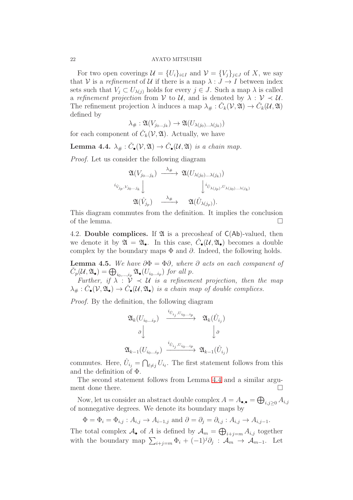For two open coverings  $\mathcal{U} = \{U_i\}_{i \in I}$  and  $\mathcal{V} = \{V_j\}_{j \in J}$  of X, we say that V is a *refinement* of U if there is a map  $\lambda : J \to I$  between index sets such that  $V_j \subset U_{\lambda(j)}$  holds for every  $j \in J$ . Such a map  $\lambda$  is called a *refinement projection* from V to U, and is denoted by  $\lambda : V \prec U$ . The refinement projection  $\lambda$  induces a map  $\lambda_{\#}: C_k(\mathcal{V}, \mathfrak{A}) \to C_k(\mathcal{U}, \mathfrak{A})$ defined by

$$
\lambda_{\#} : \mathfrak{A}(V_{j_0...j_k}) \to \mathfrak{A}(U_{\lambda(j_0)... \lambda(j_k)})
$$

for each component of  $\check{C}_k(\mathcal{V}, \mathfrak{A})$ . Actually, we have

<span id="page-21-0"></span>Lemma 4.4.  $\lambda_{\#}: \check{C}_\bullet(\mathcal{V}, \mathfrak{A}) \to \check{C}_\bullet(\mathcal{U}, \mathfrak{A})$  *is a chain map.* 

*Proof.* Let us consider the following diagram

$$
\begin{array}{ccc}\n\mathfrak{A}(V_{j_0...j_k}) & \xrightarrow{\lambda_{\#}} & \mathfrak{A}(U_{\lambda(j_0)... \lambda(j_k)}) \\
\downarrow^{i_{\hat{V}_{j_p}, V_{j_0...j_k}}}\n\downarrow & & \downarrow^{i_{\hat{U}_{\lambda(j_p)}, U_{\lambda(j_0)... \lambda(j_k)}} \\
\mathfrak{A}(\hat{V}_{j_p}) & \xrightarrow{\lambda_{\#}} & \mathfrak{A}(\hat{U}_{\lambda(j_p)}).\n\end{array}
$$

This diagram commutes from the definition. It implies the conclusion of the lemma.  $\Box$ 

4.2. Double complices. If  $\mathfrak A$  is a precosheaf of  $C(\mathsf{Ab})$ -valued, then we denote it by  $\mathfrak{A} = \mathfrak{A}_{\bullet}$ . In this case,  $\check{C}_{\bullet}(\mathcal{U}, \mathfrak{A}_{\bullet})$  becomes a double complex by the boundary maps  $\Phi$  and  $\partial$ . Indeed, the following holds.

**Lemma 4.5.** *We have*  $\partial \Phi = \Phi \partial$ *, where*  $\partial$  *acts on each companent of*  $\check{C}_p(\mathcal{U}, \mathfrak{A}_{\bullet}) = \bigoplus_{i_0, ..., i_p} \mathfrak{A}_{\bullet}(U_{i_0...i_p})$  for all p.

*Further, if*  $\lambda : \mathcal{V} \prec \mathcal{U}$  *is a refinement projection, then the map*  $\lambda_{\#}: \check{C}_\bullet(\mathcal{V}, \mathfrak{A}_\bullet) \to \check{C}_\bullet(\mathcal{U}, \mathfrak{A}_\bullet)$  is a chain map of double complices.

*Proof.* By the definition, the following diagram

$$
\begin{array}{ccc}\n\mathfrak{A}_k(U_{i_0\ldots i_p}) & \xrightarrow{i_{\hat{U}_{i_j},U_{i_0\ldots i_p}}} & \mathfrak{A}_k(\hat{U}_{i_j}) \\
\downarrow \delta & & \downarrow \delta \\
\mathfrak{A}_{k-1}(U_{i_0\ldots i_p}) & \xrightarrow{i_{\hat{U}_{i_j},U_{i_0\ldots i_p}}} & \mathfrak{A}_{k-1}(\hat{U}_{i_j})\n\end{array}
$$

commutes. Here,  $\hat{U}_{i_j} = \bigcap_{\ell \neq j} U_{i_\ell}$ . The first statement follows from this and the definition of Φ.

The second statement follows from Lemma [4.4](#page-21-0) and a similar argument done there.  $\Box$ 

Now, let us consider an abstract double complex  $A = A_{\bullet,\bullet} = \bigoplus_{i,j\geq 0} A_{i,j}$ of nonnegative degrees. We denote its boundary maps by

 $\Phi = \Phi_i = \Phi_{i,j} : A_{i,j} \to A_{i-1,j}$  and  $\partial = \partial_j = \partial_{i,j} : A_{i,j} \to A_{i,j-1}$ .

The total complex  $\mathcal{A}_{\bullet}$  of A is defined by  $\mathcal{A}_{m} = \bigoplus_{i+j=m} A_{i,j}$  together with the boundary map  $\sum_{i+j=m} \Phi_i + (-1)^j \partial_j : \mathcal{A}_m \to \mathcal{A}_{m-1}$ . Let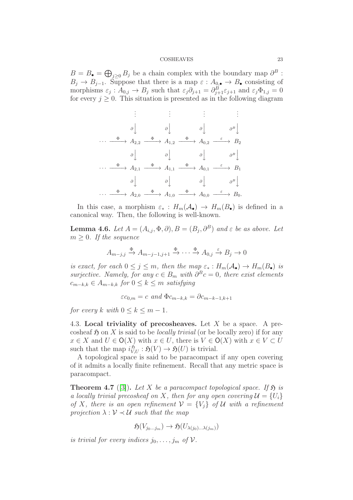$B = B_{\bullet} = \bigoplus_{j\geq 0} B_j$  be a chain complex with the boundary map  $\partial^B$ :  $B_j \to B_{j-1}$ . Suppose that there is a map  $\varepsilon : A_{0,\bullet} \to B_{\bullet}$  consisting of morphisms  $\varepsilon_j$ :  $A_{0,j} \to B_j$  such that  $\varepsilon_j \partial_{j+1} = \partial_{j+1}^B \varepsilon_{j+1}$  and  $\varepsilon_j \Phi_{1,j} = 0$ for every  $j \geq 0$ . This situation is presented as in the following diagram

$$
\begin{array}{ccccccc}\n & \vdots & & \vdots & & \vdots & & \vdots \\
 & \vartheta & & \vartheta & & \vartheta & & \vartheta^B\downarrow \\
 & & \vartheta & & \vartheta & & \vartheta & & \vartheta^B\downarrow \\
 & & \vartheta & & A_{2,2} & \xrightarrow{\Phi} & A_{1,2} & \xrightarrow{\Phi} & A_{0,2} & \xrightarrow{\varepsilon} & B_2 \\
 & & \vartheta & & & \vartheta & & \vartheta & & \vartheta^B\downarrow \\
 & & & \vartheta & & & \vartheta & & \vartheta & & \vartheta^B\downarrow \\
 & & & \vartheta & & & \vartheta & & \vartheta & & \vartheta^B\downarrow \\
 & & & & \vartheta & & & \vartheta & & \vartheta^B\downarrow \\
 & & & & & \vartheta & & & \vartheta & & \vartheta^B\downarrow \\
 & & & & & & & \vartheta & & \vartheta & & \vartheta^B\downarrow \\
 & & & & & & & & \vartheta & & \vartheta^B\downarrow \\
 & & & & & & & & & \vartheta & & \vartheta^B\downarrow \\
 & & & & & & & & & & \vartheta & & \vartheta^B\downarrow \\
 & & & & & & & & & & \vartheta & & \vartheta^B\downarrow \\
 & & & & & & & & & & \vartheta & & \vartheta^B\downarrow \\
\end{array}
$$

In this case, a morphism  $\varepsilon_* : H_m(\mathcal{A}_{\bullet}) \to H_m(B_{\bullet})$  is defined in a canonical way. Then, the following is well-known.

<span id="page-22-1"></span>**Lemma 4.6.** *Let*  $A = (A_{i,j}, \Phi, \partial), B = (B_j, \partial^B)$  *and*  $\varepsilon$  *be as above. Let*  $m > 0$ *. If the sequence* 

$$
A_{m-j,j} \xrightarrow{\Phi} A_{m-j-1,j+1} \xrightarrow{\Phi} \cdots \xrightarrow{\Phi} A_{0,j} \xrightarrow{\varepsilon} B_j \to 0
$$

*is exact, for each*  $0 \leq j \leq m$ , then the map  $\varepsilon_* : H_m(\mathcal{A}_{\bullet}) \to H_m(B_{\bullet})$  *is surjective.* Namely, for any  $c \in B_m$  with  $\partial^B c = 0$ , there exist elements  $c_{m-k,k}$  ∈  $A_{m-k,k}$  *for*  $0 \leq k \leq m$  *satisfying* 

$$
\varepsilon c_{0,m} = c \ and \ \Phi c_{m-k,k} = \partial c_{m-k-1,k+1}
$$

*for every* k *with*  $0 \leq k \leq m-1$ *.* 

4.3. Local triviality of precosheaves. Let  $X$  be a space. A precosheaf  $\mathfrak H$  on X is said to be *locally trivial* (or be locally zero) if for any  $x \in X$  and  $U \in \mathsf{O}(X)$  with  $x \in U$ , there is  $V \in \mathsf{O}(X)$  with  $x \in V \subset U$ such that the map  $i_{V,U}^{\mathfrak{H}} : \mathfrak{H}(V) \to \mathfrak{H}(U)$  is trivial.

A topological space is said to be paracompact if any open covering of it admits a locally finite refinement. Recall that any metric space is paracompact.

<span id="page-22-0"></span>**Theorem 4.7** ([\[3\]](#page-37-1)). Let X be a paracompact topological space. If  $\mathfrak{H}$  is *a locally trivial precosheaf on* X, then for any open covering  $\mathcal{U} = \{U_i\}$ *of* X, there is an open refinement  $V = \{V_i\}$  of U with a refinement *projection*  $\lambda : \mathcal{V} \prec \mathcal{U}$  *such that the map* 

$$
\mathfrak{H}(V_{j_0\dots j_m})\to \mathfrak{H}(U_{\lambda(j_0)\dots\lambda(j_m)})
$$

*is trivial for every indices*  $j_0, \ldots, j_m$  of  $V$ .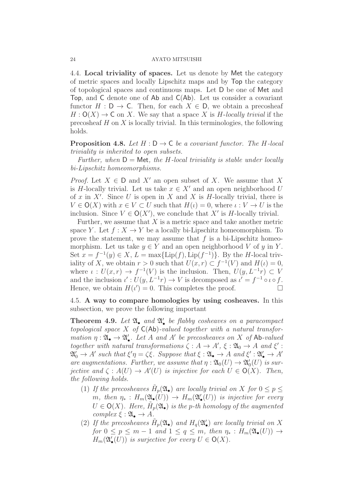4.4. Local triviality of spaces. Let us denote by Met the category of metric spaces and locally Lipschitz maps and by Top the category of topological spaces and continuous maps. Let D be one of Met and Top, and C denote one of Ab and C(Ab). Let us consider a covariant functor  $H : D \to C$ . Then, for each  $X \in D$ , we obtain a precosheaf  $H: O(X) \to \mathsf{C}$  on X. We say that a space X is H-locally trivial if the precosheaf  $H$  on  $X$  is locally trivial. In this terminologies, the following holds.

**Proposition 4.8.** Let  $H : D \to C$  be a covariant functor. The H-local *triviality is inherited to open subsets.*

*Further, when*  $D =$  Met*, the H*-local triviality is stable under locally *bi-Lipschitz homeomorphisms.*

*Proof.* Let  $X \in D$  and  $X'$  an open subset of X. We assume that X is H-locally trivial. Let us take  $x \in X'$  and an open neighborhood U of x in X'. Since U is open in X and X is H-locally trivial, there is  $V \in \mathsf{O}(X)$  with  $x \in V \subset U$  such that  $H(\iota) = 0$ , where  $\iota : V \to U$  is the inclusion. Since  $V \in O(X')$ , we conclude that X' is H-locally trivial.

Further, we assume that  $X$  is a metric space and take another metric space Y. Let  $f : X \to Y$  be a locally bi-Lipschitz homeomorphism. To prove the statement, we may assume that  $f$  is a bi-Lipschitz homeomorphism. Let us take  $y \in Y$  and an open neighborhood V of y in Y. Set  $x = f^{-1}(y) \in X$ ,  $L = \max\{\text{Lip}(f), \text{Lip}(f^{-1})\}$ . By the *H*-local triviality of X, we obtain  $r > 0$  such that  $U(x, r) \subset f^{-1}(V)$  and  $H(\iota) = 0$ , where  $\iota: U(x,r) \to f^{-1}(V)$  is the inclusion. Then,  $U(y, L^{-1}r) \subset V$ and the inclusion  $\iota' : U(y, L^{-1}r) \to V$  is decomposed as  $\iota' = f^{-1} \circ \iota \circ f$ . Hence, we obtain  $H(t') = 0$ . This completes the proof.

4.5. A way to compare homologies by using cosheaves. In this subsection, we prove the following important

<span id="page-23-0"></span>Theorem 4.9. Let  $\mathfrak{A}_\bullet$  and  $\mathfrak{A}'_\bullet$  be flabby cosheaves on a paracompact *topological space* X *of* C(Ab)*-valued together with a natural transformation*  $\eta : \mathfrak{A}_{\bullet} \to \mathfrak{A}'_{\bullet}$ *. Let* A *and* A' *be precosheaves on* X *of* Ab-valued *together with natural transformations*  $\zeta : A \to A'$ ,  $\xi : \mathfrak{A}_0 \to A$  *and*  $\xi'$ :  $\mathfrak{A}'_0 \to A'$  such that  $\xi' \eta = \zeta \xi$ . Suppose that  $\xi : \mathfrak{A}_\bullet \to A$  and  $\xi' : \mathfrak{A}'_\bullet \to A'$ *are augmentations. Further, we assume that*  $\eta : \mathfrak{A}_0(U) \to \mathfrak{A}'_0(U)$  *is surjective and*  $\zeta : A(U) \to A'(U)$  *is injective for each*  $U \in \mathsf{O}(X)$ *. Then, the following holds.*

- (1) If the precosheaves  $\tilde{H}_p(\mathfrak{A}_{\bullet})$  are locally trivial on X for  $0 \leq p \leq$  $m$ , then  $\eta_*$ :  $H_m(\mathfrak{A}_\bullet(U)) \to H_m(\mathfrak{A}_\bullet'(U))$  *is injective for every*  $U \in \mathsf{O}(X)$ *. Here,*  $\tilde{H}_p(\mathfrak{A}_\bullet)$  *is the p-th homology of the augmented*  $complex \xi : \mathfrak{A}_{\bullet} \to A.$
- (2) If the precosheaves  $\tilde{H}_p(\mathfrak{A}_{\bullet})$  and  $H_q(\mathfrak{A}'_{\bullet})$  are locally trivial on X *for*  $0 \leq p \leq m-1$  *and*  $1 \leq q \leq m$ *, then*  $\eta_* : H_m(\mathfrak{A}_{\bullet}(U)) \to$  $H_m(\mathfrak{A}'_{\bullet}(U))$  *is surjective for every*  $U \in \mathsf{O}(X)$ *.*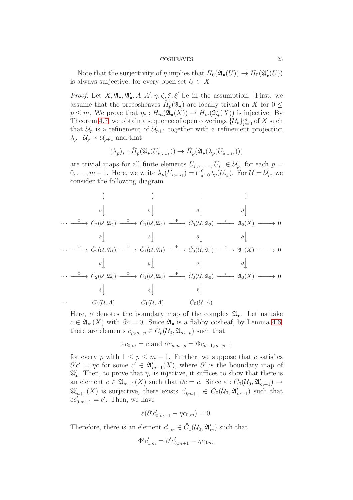Note that the surjectivity of  $\eta$  implies that  $H_0(\mathfrak{A}_{\bullet}(U)) \to H_0(\mathfrak{A}_{\bullet}(U))$ is always surjective, for every open set  $U \subset X$ .

*Proof.* Let  $X, \mathfrak{A}_\bullet, \mathfrak{A}'_\bullet, A, A', \eta, \zeta, \xi, \xi'$  be in the assumption. First, we assume that the precosheaves  $\tilde{H}_p(\mathfrak{A}_{\bullet})$  are locally trivial on X for  $0 \leq$  $p \leq m$ . We prove that  $\eta_* : H_m(\mathfrak{A}_\bullet(X)) \to H_m(\mathfrak{A}_\bullet'(X))$  is injective. By Theorem [4.7,](#page-22-0) we obtain a sequence of open coverings  $\{\mathcal{U}_p\}_{p=0}^m$  of X such that  $\mathcal{U}_p$  is a refinement of  $\mathcal{U}_{p+1}$  together with a refinement projection  $\lambda_p: \mathcal{U}_p \prec \mathcal{U}_{p+1}$  and that

$$
(\lambda_p)_*: \tilde{H}_p(\mathfrak{A}_{\bullet}(U_{i_0...i_{\ell}})) \to \tilde{H}_p(\mathfrak{A}_{\bullet}(\lambda_p(U_{i_0...i_{\ell}})))
$$

are trivial maps for all finite elements  $U_{i_0}, \ldots, U_{i_\ell} \in \mathcal{U}_p$ , for each  $p =$  $0, \ldots, m-1$ . Here, we write  $\lambda_p(U_{i_0 \ldots i_\ell}) = \bigcap_{a=0}^{\ell} \lambda_p(U_{i_a})$ . For  $\mathcal{U} = \mathcal{U}_p$ , we consider the following diagram.

$$
\vdots \qquad \vdots \qquad \vdots \qquad \vdots
$$
\n
$$
\vdots \qquad \vdots \qquad \vdots \qquad \vdots
$$
\n
$$
\vdots \qquad \vdots \qquad \vdots
$$
\n
$$
\vdots \qquad \vdots \qquad \vdots
$$
\n
$$
\vdots \qquad \vdots \qquad \vdots
$$
\n
$$
\vdots \qquad \vdots \qquad \vdots
$$
\n
$$
\vdots \qquad \vdots \qquad \vdots
$$
\n
$$
\vdots \qquad \vdots \qquad \vdots
$$
\n
$$
\vdots \qquad \vdots \qquad \vdots
$$
\n
$$
\vdots \qquad \vdots \qquad \vdots
$$
\n
$$
\vdots \qquad \vdots \qquad \vdots
$$
\n
$$
\vdots \qquad \vdots \qquad \vdots \qquad \vdots
$$
\n
$$
\vdots \qquad \vdots \qquad \vdots \qquad \vdots
$$
\n
$$
\vdots \qquad \vdots \qquad \vdots \qquad \vdots
$$
\n
$$
\vdots \qquad \vdots \qquad \vdots \qquad \vdots
$$
\n
$$
\vdots \qquad \vdots \qquad \vdots \qquad \vdots
$$
\n
$$
\vdots \qquad \vdots \qquad \vdots \qquad \vdots
$$
\n
$$
\vdots \qquad \vdots \qquad \vdots \qquad \vdots \qquad \vdots
$$
\n
$$
\vdots \qquad \vdots \qquad \vdots \qquad \vdots \qquad \vdots
$$
\n
$$
\vdots \qquad \vdots \qquad \vdots \qquad \vdots \qquad \vdots \qquad \vdots
$$
\n
$$
\vdots \qquad \vdots \qquad \vdots \qquad \vdots \qquad \vdots \qquad \vdots
$$
\n
$$
\vdots \qquad \vdots \qquad \vdots \qquad \vdots \qquad \vdots \qquad \vdots
$$
\n
$$
\vdots \qquad \vdots \qquad \vdots \qquad \vdots \qquad \vdots \qquad \vdots
$$
\n
$$
\vdots \qquad \vdots \qquad \vdots \qquad \vdots \qquad \vdots \qquad \vdots
$$
\n
$$
\vdots \qquad \vdots \qquad \vdots \qquad \vdots \
$$

Here,  $\partial$  denotes the boundary map of the complex  $\mathfrak{A}_{\bullet}$ . Let us take  $c \in \mathfrak{A}_m(X)$  with  $\partial c = 0$ . Since  $\mathfrak{A}_\bullet$  is a flabby cosheaf, by Lemma [4.6,](#page-22-1) there are elements  $c_{p,m-p} \in \check{C}_p(\mathcal{U}_0, \mathfrak{A}_{m-p})$  such that

$$
\varepsilon c_{0,m} = c
$$
 and  $\partial c_{p,m-p} = \Phi c_{p+1,m-p-1}$ 

for every p with  $1 \leq p \leq m-1$ . Further, we suppose that c satisfies  $\partial'c' = \eta c$  for some  $c' \in \mathfrak{A}'_{m+1}(X)$ , where  $\partial'$  is the boundary map of  $\mathfrak{A}'_{\bullet}$ . Then, to prove that  $\eta_*$  is injective, it suffices to show that there is an element  $\bar{c} \in \mathfrak{A}_{m+1}(X)$  such that  $\partial \bar{c} = c$ . Since  $\varepsilon : \check{C}_0(\mathcal{U}_0, \mathfrak{A}_{m+1}') \to$  $\mathfrak{A}'_{m+1}(X)$  is surjective, there exists  $c'_{0,m+1} \in \check{C}_0(\mathcal{U}_0, \mathfrak{A}'_{m+1})$  such that  $\varepsilon c'_{0,m+1} = c'$ . Then, we have

$$
\varepsilon(\partial' c'_{0,m+1} - \eta c_{0,m}) = 0.
$$

Therefore, there is an element  $c'_{1,m} \in \check{C}_1(\mathcal{U}_0, \mathfrak{A}'_m)$  such that

$$
\Phi' c'_{1,m} = \partial' c'_{0,m+1} - \eta c_{0,m}.
$$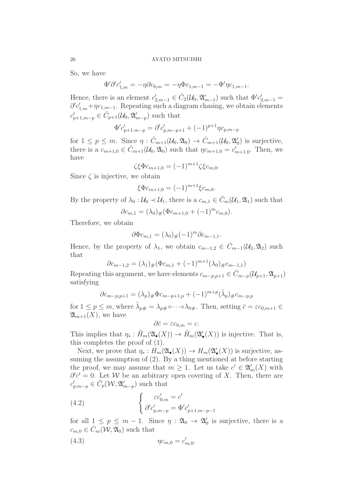So, we have

Φ

$$
\Phi' \partial' c'_{1,m} = -\eta \partial c_{0,m} = -\eta \Phi c_{1,m-1} = -\Phi' \eta c_{1,m-1}.
$$

Hence, there is an element  $c'_{2,m-1} \in \check{C}_2(\mathcal{U}_0, \mathfrak{A}'_{m-1})$  such that  $\Phi' c'_{2,m-1} =$  $\partial^{\prime} c'_{1,m} + \eta c_{1,m-1}$ . Repeating such a diagram chasing, we obtain elements  $c'_{p+1,m-p} \in \check{C}_{p+1}(\mathcal{U}_0, \mathfrak{A}'_{m-p})$  such that

$$
\Phi' c'_{p+1,m-p} = \partial' c'_{p,m-p+1} + (-1)^{p+1} \eta c_{p,m-p}
$$

for  $1 \leq p \leq m$ . Since  $\eta : \check{C}_{m+1}(\mathcal{U}_0, \mathfrak{A}_0) \to \check{C}_{m+1}(\mathcal{U}_0, \mathfrak{A}_0')$  is surjective, there is a  $c_{m+1,0} \in \check{C}_{m+1}(\mathcal{U}_0, \mathfrak{A}_0)$  such that  $\eta c_{m+1,0} = c'_{m+1,0}$ . Then, we have

$$
\zeta \xi \Phi c_{m+1,0} = (-1)^{m+1} \zeta \xi c_{m,0}.
$$

Since  $\zeta$  is injective, we obtain

$$
\xi \Phi c_{m+1,0} = (-1)^{m+1} \xi c_{m,0}.
$$

By the property of  $\lambda_0 : U_0 \prec U_1$ , there is a  $c_{m,1} \in \check{C}_m(U_1, \mathfrak{A}_1)$  such that

$$
\partial c_{m,1} = (\lambda_0)_\# (\Phi c_{m+1,0} + (-1)^m c_{m,0}).
$$

Therefore, we obtain

$$
\partial \Phi c_{m,1} = (\lambda_0)_\# (-1)^m \partial c_{m-1,1}.
$$

Hence, by the property of  $\lambda_1$ , we obtain  $c_{m-1,2} \in \check{C}_{m-1}(\mathcal{U}_2, \mathfrak{A}_2)$  such that

$$
\partial c_{m-1,2} = (\lambda_1)_{\#} (\Phi c_{m,1} + (-1)^{m+1} (\lambda_0)_{\#} c_{m-1,1})
$$

Repeating this argument, we have elements  $c_{m-p,p+1} \in C_{m-p}(\mathcal{U}_{p+1}, \mathfrak{A}_{p+1})$ satisfying

$$
\partial c_{m-p,p+1} = (\lambda_p)_{\#} \Phi c_{m-p+1,p} + (-1)^{m+p} (\tilde{\lambda}_p)_{\#} c_{m-p,p}
$$

for  $1 \le p \le m$ , where  $\tilde{\lambda}_{p\#} = \lambda_{p\#} \circ \cdots \circ \lambda_{0\#}$ . Then, setting  $\bar{c} = \varepsilon c_{0,m+1} \in$  $\mathfrak{A}_{m+1}(X)$ , we have

$$
\partial \bar{c} = \varepsilon c_{0,m} = c.
$$

This implies that  $\eta_* : \tilde{H}_m(\mathfrak{A}_{\bullet}(X)) \to \tilde{H}_m(\mathfrak{A}'_{\bullet}(X))$  is injective. That is, this completes the proof of (1).

Next, we prove that  $\eta_*: H_m(\mathfrak{A}_{\bullet}(X)) \to H_m(\mathfrak{A}'_{\bullet}(X))$  is surjective, assuming the assumption of (2). By a thing mentioned at before starting the proof, we may assume that  $m \geq 1$ . Let us take  $c' \in \mathfrak{A}'_m(X)$  with  $\partial'c' = 0$ . Let W be an arbitrary open covering of X. Then, there are  $c'_{p,m-p} \in \check{C}_p(\mathcal{W}, \mathfrak{A}'_{m-p})$  such that

<span id="page-25-0"></span>(4.2) 
$$
\begin{cases} \varepsilon c'_{0,m} = c' \\ \partial' c'_{p,m-p} = \Phi' c'_{p+1,m-p-1} \end{cases}
$$

for all  $1 \leq p \leq m-1$ . Since  $\eta : \mathfrak{A}_0 \to \mathfrak{A}'_0$  is surjective, there is a  $c_{m,0} \in \check{C}_m(\mathcal{W}, \mathfrak{A}_0)$  such that

<span id="page-25-1"></span>(4.3) 
$$
\eta c_{m,0} = c'_{m,0}.
$$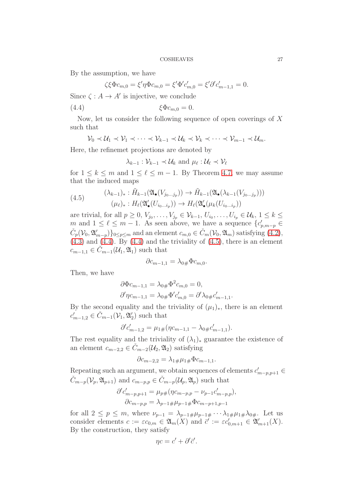By the assumption, we have

<span id="page-26-0"></span>
$$
\zeta \xi \Phi c_{m,0} = \xi' \eta \Phi c_{m,0} = \xi' \Phi' c'_{m,0} = \xi' \partial' c'_{m-1,1} = 0.
$$

Since  $\zeta: A \to A'$  is injective, we conclude

$$
(4.4) \t\t \xi \Phi c_{m,0} = 0.
$$

Now, let us consider the following sequence of open coverings of X such that

$$
\mathcal{V}_0 \prec \mathcal{U}_1 \prec \mathcal{V}_1 \prec \cdots \prec \mathcal{V}_{k-1} \prec \mathcal{U}_k \prec \mathcal{V}_k \prec \cdots \prec \mathcal{V}_{m-1} \prec \mathcal{U}_m.
$$

Here, the refinemet projections are denoted by

$$
\lambda_{k-1} : \mathcal{V}_{k-1} \prec \mathcal{U}_k
$$
 and  $\mu_{\ell} : \mathcal{U}_{\ell} \prec \mathcal{V}_{\ell}$ 

for  $1 \leq k \leq m$  and  $1 \leq \ell \leq m-1$ . By Theorem [4.7,](#page-22-0) we may assume that the induced maps

<span id="page-26-1"></span>(4.5) 
$$
(\lambda_{k-1})_* : \tilde{H}_{k-1}(\mathfrak{A}_{\bullet}(V_{j_0...j_p})) \to \tilde{H}_{k-1}(\mathfrak{A}_{\bullet}(\lambda_{k-1}(V_{j_0...j_p}))) (\mu_{\ell})_* : H_{\ell}(\mathfrak{A}'_{\bullet}(U_{i_0...i_p})) \to H_{\ell}(\mathfrak{A}'_{\bullet}(\mu_k(U_{i_0...i_p}))
$$

are trivial, for all  $p \geq 0$ ,  $V_{j_0}, \ldots, V_{j_p} \in \mathcal{V}_{k-1}, U_{i_0}, \ldots, U_{i_p} \in \mathcal{U}_k, 1 \leq k \leq$ m and  $1 \leq \ell \leq m-1$ . As seen above, we have a sequence  ${c'_{p,m-p} \in \mathbb{R}^m}$  $\check{C}_p(\mathcal{V}_0, \mathfrak{A}_{m-p}')\}_{0 \leq p \leq m}$  and an element  $c_{m,0} \in \check{C}_m(\mathcal{V}_0, \mathfrak{A}_m)$  satisfying  $(4.2)$ ,  $(4.3)$  and  $(4.4)$ . By  $(4.4)$  and the triviality of  $(4.5)$ , there is an element  $c_{m-1,1} \in C_{m-1}(\mathcal{U}_1, \mathfrak{A}_1)$  such that

$$
\partial c_{m-1,1} = \lambda_{0\#} \Phi c_{m,0}.
$$

Then, we have

$$
\partial \Phi c_{m-1,1} = \lambda_{0\#} \Phi^2 c_{m,0} = 0,
$$
  

$$
\partial' \eta c_{m-1,1} = \lambda_{0\#} \Phi' c'_{m,0} = \partial' \lambda_{0\#} c'_{m-1,1}.
$$

By the second equality and the triviality of  $(\mu_1)_*$ , there is an element  $c'_{m-1,2} \in \check{C}_{m-1}(\mathcal{V}_1, \mathfrak{A}'_2)$  such that

$$
\partial' c'_{m-1,2} = \mu_{1\#} (\eta c_{m-1,1} - \lambda_{0\#} c'_{m-1,1}).
$$

The rest equality and the triviality of  $(\lambda_1)_*$  guarantee the existence of an element  $c_{m-2,2} \in \check{C}_{m-2}(\mathcal{U}_2, \mathfrak{A}_2)$  satisfying

$$
\partial c_{m-2,2} = \lambda_{1\#}\mu_{1\#}\Phi c_{m-1,1}.
$$

Repeating such an argument, we obtain sequences of elements  $c'_{m-p,p+1} \in$  $\check{C}_{m-p}(\mathcal{V}_p, \mathfrak{A}_{p+1})$  and  $c_{m-p,p} \in \check{C}_{m-p}(\mathcal{U}_p, \mathfrak{A}_p)$  such that

$$
\partial' c'_{m-p,p+1} = \mu_{p\#} (\eta c_{m-p,p} - \nu_{p-1} c'_{m-p,p}),
$$
  

$$
\partial c_{m-p,p} = \lambda_{p-1\#} \mu_{p-1\#} \Phi c_{m-p+1,p-1}
$$

for all  $2 \le p \le m$ , where  $\nu_{p-1} = \lambda_{p-1} \# \mu_{p-1} \# \cdots \lambda_{1} \# \mu_{1} \# \lambda_{0} \#$ . Let us consider elements  $c := \varepsilon c_{0,m} \in \mathfrak{A}_m(X)$  and  $\bar{c}' := \varepsilon c'_{0,m+1} \in \mathfrak{A}'_{m+1}(X)$ . By the construction, they satisfy

$$
\eta c = c' + \partial' \bar{c}'.
$$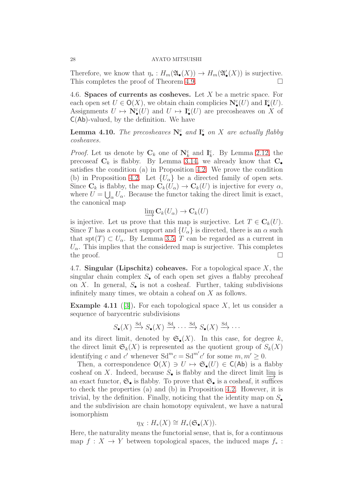Therefore, we know that  $\eta_*: H_m(\mathfrak{A}_{\bullet}(X)) \to H_m(\mathfrak{A}'_{\bullet}(X))$  is surjective. This completes the proof of Theorem [4.9.](#page-23-0)

4.6. Spaces of currents as cosheves. Let X be a metric space. For each open set  $U \in \mathsf{O}(X)$ , we obtain chain complicies  $\mathbf{N}_{\bullet}(U)$  and  $\mathbf{I}_{\bullet}(U)$ . Assignments  $U \mapsto \mathbb{N}_{\bullet}^{\text{c}}(U)$  and  $U \mapsto \mathbb{I}_{\bullet}^{\text{c}}(U)$  are precosheaves on X of  $C(Ab)$ -valued, by the definition. We have

<span id="page-27-2"></span>**Lemma 4.10.** *The precosheaves*  $N_{\bullet}^{c}$  *and*  $I_{\bullet}^{c}$  *on* X *are actually flabby cosheaves.*

*Proof.* Let us denote by  $\mathbf{C}_k$  one of  $\mathbf{N}_k^c$  and  $\mathbf{I}_k^c$ . By Lemma [2.12,](#page-8-0) the precoseaf  $C_k$  is flabby. By Lemma [3.14,](#page-16-2) we already know that  $C_{\bullet}$ satisfies the condition (a) in Proposition [4.2.](#page-20-1) We prove the condition (b) in Proposition [4.2.](#page-20-1) Let  $\{U_{\alpha}\}\$ be a directed family of open sets. Since  $\mathbf{C}_k$  is flabby, the map  $\mathbf{C}_k(U_\alpha) \to \mathbf{C}_k(U)$  is injective for every  $\alpha$ , where  $U = \bigcup_{\alpha} U_{\alpha}$ . Because the functor taking the direct limit is exact, the canonical map

$$
\varinjlim \mathbf{C}_k(U_\alpha) \to \mathbf{C}_k(U)
$$

is injective. Let us prove that this map is surjective. Let  $T \in \mathbf{C}_k(U)$ . Since T has a compact support and  $\{U_{\alpha}\}\$ is directed, there is an  $\alpha$  such that  $\text{spt}(T) \subset U_\alpha$ . By Lemma [3.5,](#page-12-0) T can be regarded as a current in  $U_{\alpha}$ . This implies that the considered map is surjective. This completes the proof.  $\Box$ 

<span id="page-27-1"></span>4.7. Singular (Lipschitz) coheaves. For a topological space  $X$ , the singular chain complex  $S_{\bullet}$  of each open set gives a flabby precoheaf on X. In general,  $S_{\bullet}$  is not a cosheaf. Further, taking subdivisions infinitely many times, we obtain a coheaf on X as follows.

<span id="page-27-0"></span>**Example 4.11** ([\[3\]](#page-37-1)). For each topological space X, let us consider a sequence of barycentric subdivisions

$$
S_{\bullet}(X) \xrightarrow{\text{Sd}} S_{\bullet}(X) \xrightarrow{\text{Sd}} \cdots \xrightarrow{\text{Sd}} S_{\bullet}(X) \xrightarrow{\text{Sd}} \cdots
$$

and its direct limit, denoted by  $\mathfrak{S}_{\bullet}(X)$ . In this case, for degree k, the direct limit  $\mathfrak{S}_k(X)$  is represented as the quotient group of  $S_k(X)$ identifying c and c' whenever  $Sd^mc = Sd^{m'}c'$  for some  $m, m' \geq 0$ .

Then, a correspondence  $O(X) \ni U \mapsto \mathfrak{S}_{\bullet}(U) \in C(\mathsf{Ab})$  is a flabby cosheaf on X. Indeed, because  $S_{\bullet}$  is flabby and the direct limit  $\lim_{\infty}$  is an exact functor,  $\mathfrak{S}_{\bullet}$  is flabby. To prove that  $\mathfrak{S}_{\bullet}$  is a cosheaf, it suffices to check the properties (a) and (b) in Proposition [4.2.](#page-20-1) However, it is trivial, by the definition. Finally, noticing that the identity map on  $S_{\bullet}$ and the subdivision are chain homotopy equivalent, we have a natural isomorphism

$$
\eta_X: H_*(X) \cong H_*(\mathfrak{S}_{\bullet}(X)).
$$

Here, the naturality means the functorial sense, that is, for a continuous map  $f : X \to Y$  between topological spaces, the induced maps  $f_*$ :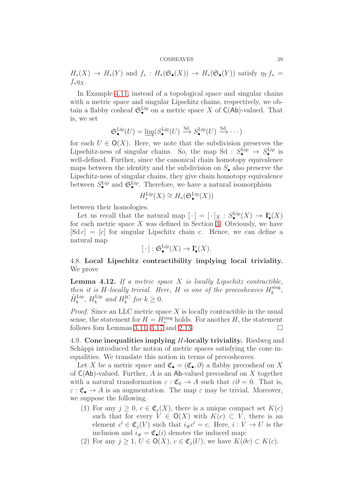$H_*(X) \to H_*(Y)$  and  $f_* : H_*(\mathfrak{S}_\bullet(X)) \to H_*(\mathfrak{S}_\bullet(Y))$  satisfy  $\eta_Y f_* =$  $f_*\eta_X$ .

In Example [4.11,](#page-27-0) instead of a topological space and singular chains with a metric space and singular Lipschitz chains, respectively, we obtain a flabby cosheaf  $\mathfrak{S}_{\bullet}^{\text{Lip}}$  on a metric space X of  $\mathsf{C}(\mathsf{Ab})$ -valued. That is, we set

$$
\mathfrak{S}_{\bullet}^{\text{Lip}}(U) = \varinjlim (S_{\bullet}^{\text{Lip}}(U) \stackrel{\text{Sd}}{\longrightarrow} S_{\bullet}^{\text{Lip}}(U) \stackrel{\text{Sd}}{\longrightarrow} \cdots )
$$

for each  $U \in \mathsf{O}(X)$ . Here, we note that the subdivision preserves the Lipschitz-ness of singular chains. So, the map Sd :  $S_{\bullet}^{\text{Lip}} \rightarrow S_{\bullet}^{\text{Lip}}$  is well-defined. Further, since the canonical chain homotopy equivalence maps between the identity and the subdivision on  $S_{\bullet}$  also preserve the Lipschitz-ness of singular chains, they give chain homotopy equivalence between  $S_{\bullet}^{\text{Lip}}$  and  $\mathfrak{S}_{\bullet}^{\text{Lip}}$ . Therefore, we have a natural isomorphism

$$
H^{\mathrm{Lip}}_*(X) \cong H_*(\mathfrak{S}^{\mathrm{Lip}}_\bullet(X))
$$

between their homologies.

Let us recall that the natural map  $[\cdot] = [\cdot]_X : S^{\text{Lip}}_{\bullet}(X) \to \mathbf{I}^{\text{c}}_{\bullet}(X)$ for each metric space  $X$  was defined in Section [3.](#page-9-0) Obviously, we have  $[Sd c] = [c]$  for singular Lipschitz chain c. Hence, we can define a natural map

$$
[\cdot]: \mathfrak{S}_{\bullet}^{\text{Lip}}(X) \to \mathbf{I}_{\bullet}^{\text{c}}(X).
$$

4.8. Local Lipschitz contractibility implying local triviality. We prove

<span id="page-28-0"></span>Lemma 4.12. *If a metric space* X *is locally Lipschitz contractible, then it is H*-locally trivial. Here, *H is one of the procosheaves*  $H_k^{\text{sing}}$  $\frac{\text{sing}}{k}$ ,  $\tilde{H}_k^{\text{Lip}}, H_k^{\text{Lip}}$  $\lim_{k}$  and  $H_{k}^{\text{IC}}$  for  $k \geq 0$ .

*Proof.* Since an LLC metric space X is locally contractible in the usual sense, the statement for  $H = H_*^{\text{sing}}$  holds. For another  $H$ , the statement follows fom Lemmas [3.11,](#page-15-0) [3.17](#page-19-1) and [2.13.](#page-9-1)

4.9. Cone inequalities implying H-locally triviality. Riedweg and Schäppi introduced the notion of metric spaces satisfying the cone inequalities. We translate this notion in terms of precosheaves.

Let X be a metric space and  $\mathfrak{C}_{\bullet} = (\mathfrak{C}_{\bullet}, \partial)$  a flabby precosheaf on X of  $C(Ab)$ -valued. Further, A is an Ab-valued precosheaf on X together with a natural transformation  $\varepsilon$  :  $\mathfrak{C}_0 \to A$  such that  $\varepsilon \partial = 0$ . That is,  $\varepsilon : \mathfrak{C}_{\bullet} \to A$  is an augmentation. The map  $\varepsilon$  may be trivial. Moreover, we suppose the following.

- (1) For any  $j \geq 0$ ,  $c \in \mathfrak{C}_i(X)$ , there is a unique compact set  $K(c)$ such that for every  $V \in \mathsf{O}(X)$  with  $K(c) \subset V$ , there is an element  $c' \in \mathfrak{C}_j(V)$  such that  $i_{\#}c' = c$ . Here,  $i: V \to U$  is the inclusion and  $i_{\#} = \mathfrak{C}_{\bullet}(i)$  denotes the induced map;
- (2) For any  $j \geq 1$ ,  $U \in \mathsf{O}(X)$ ,  $c \in \mathfrak{C}_i(U)$ , we have  $K(\partial c) \subset K(c)$ .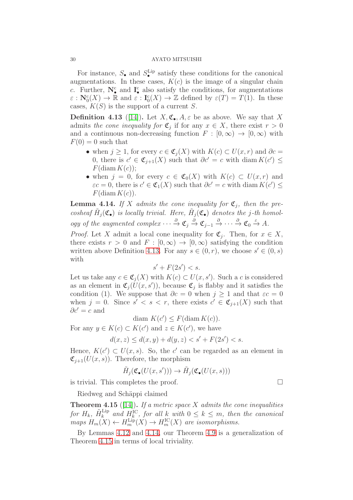For instance,  $S_{\bullet}$  and  $S_{\bullet}^{\text{Lip}}$  satisfy these conditions for the canonical augmentations. In these cases,  $K(c)$  is the image of a singular chain c. Further,  $\mathbf{N}_{\bullet}^{\rm c}$  and  $\mathbf{I}_{\bullet}^{\rm c}$  also satisfy the conditions, for augmentations  $\varepsilon : \mathbf{N}_0^{\mathsf{c}}(X) \to \mathbb{R}$  and  $\varepsilon : \mathbf{I}_0^{\mathsf{c}}(X) \to \mathbb{Z}$  defined by  $\varepsilon(T) = T(1)$ . In these cases,  $K(S)$  is the support of a current S.

<span id="page-29-0"></span>**Definition 4.13** ([\[14\]](#page-38-1)). Let  $X, \mathfrak{C}_{\bullet}, A, \varepsilon$  be as above. We say that X admits *the cone inequality for*  $\mathfrak{C}_j$  if for any  $x \in X$ , there exist  $r > 0$ and a continuous non-decreasing function  $F : [0, \infty) \to [0, \infty)$  with  $F(0) = 0$  such that

- when  $j \geq 1$ , for every  $c \in \mathfrak{C}_i(X)$  with  $K(c) \subset U(x,r)$  and  $\partial c =$ 0, there is  $c' \in \mathfrak{C}_{j+1}(X)$  such that  $\partial c' = c$  with diam  $K(c') \leq$  $F(\text{diam }K(c));$
- when  $j = 0$ , for every  $c \in \mathfrak{C}_0(X)$  with  $K(c) \subset U(x,r)$  and  $\varepsilon c = 0$ , there is  $c' \in \mathfrak{C}_1(X)$  such that  $\partial c' = c$  with diam  $K(c') \leq$  $F(\text{diam }K(c)).$

<span id="page-29-1"></span>**Lemma 4.14.** If X admits the cone inequality for  $\mathfrak{C}_j$ , then the precosheaf  $\tilde{H}_j(\mathfrak{C}_\bullet)$  is locally trivial. Here,  $\tilde{H}_j(\mathfrak{C}_\bullet)$  denotes the j-th homol*ogy of the augmented complex*  $\cdots \stackrel{\partial}{\rightarrow} \mathfrak{C}_j \stackrel{\partial}{\rightarrow} \mathfrak{C}_{j-1} \stackrel{\partial}{\rightarrow} \cdots \stackrel{\partial}{\rightarrow} \mathfrak{C}_0 \stackrel{\varepsilon}{\rightarrow} A$ .

*Proof.* Let X admit a local cone inequality for  $\mathfrak{C}_j$ . Then, for  $x \in X$ , there exists  $r > 0$  and  $F : [0, \infty) \to [0, \infty)$  satisfying the condition written above Definition [4.13.](#page-29-0) For any  $s \in (0, r)$ , we choose  $s' \in (0, s)$ with

$$
s' + F(2s') < s.
$$

Let us take any  $c \in \mathfrak{C}_j(X)$  with  $K(c) \subset U(x, s')$ . Such a c is considered as an element in  $\mathfrak{C}_j(U(x, s'))$ , because  $\mathfrak{C}_j$  is flabby and it satisfies the condition (1). We suppose that  $\partial c = 0$  when  $j \ge 1$  and that  $\varepsilon c = 0$ when  $j = 0$ . Since  $s' < s < r$ , there exists  $c' \in \mathfrak{C}_{j+1}(X)$  such that  $\partial c' = c$  and

$$
\text{diam } K(c') \le F(\text{diam } K(c)).
$$

For any  $y \in K(c) \subset K(c')$  and  $z \in K(c')$ , we have

$$
d(x, z) \le d(x, y) + d(y, z) < s' + F(2s') < s.
$$

Hence,  $K(c') \subset U(x, s)$ . So, the c' can be regarded as an element in  $\mathfrak{C}_{j+1}(U(x, s))$ . Therefore, the morphism

$$
\tilde{H}_j(\mathfrak{C}_\bullet(U(x,s'))) \to \tilde{H}_j(\mathfrak{C}_\bullet(U(x,s)))
$$

is trivial. This completes the proof.  $\Box$ 

Riedweg and Schäppi claimed

<span id="page-29-2"></span>Theorem 4.15 ([\[14\]](#page-38-1)). *If a metric space* X *admits the cone inequalities for*  $H_k$ ,  $\tilde{H}_k^{\text{Lip}}$  and  $H_k^{\text{IC}}$ , for all k with  $0 \leq k \leq m$ , then the canonical  $maps H_m(X) \leftarrow H_m^{\text{Lip}}(X) \rightarrow H_m^{\text{IC}}(X)$  are isomorphisms.

By Lemmas [4.12](#page-28-0) and [4.14,](#page-29-1) our Theorem [4.9](#page-23-0) is a generalization of Theorem [4.15](#page-29-2) in terms of local triviality.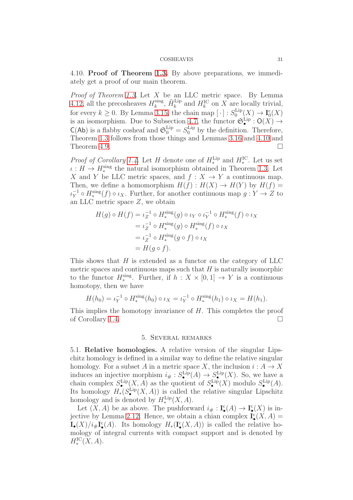4.10. Proof of Theorem [1.3.](#page-1-1) By above preparations, we immediately get a proof of our main theorem.

*Proof of Theorem [1.3.](#page-1-1)* Let X be an LLC metric space. By Lemma [4.12,](#page-28-0) all the precosheaves  $H_k^{\text{sing}}$  $k_k^{\text{sing}}$ ,  $\tilde{H}_k^{\text{Lip}}$  and  $H_k^{\text{IC}}$  on X are locally trivial, for every  $k \geq 0$ . By Lemma [3.15,](#page-18-0) the chain map  $[\cdot] : S_0^{\text{Lip}}$  $I_0^{\mathrm{Lip}}(X) \to \mathrm{I}_0^{\mathrm{c}}(X)$ is an isomorphism. Due to Subsection [4.7,](#page-27-1) the functor  $\mathfrak{S}_{\bullet}^{\text{Lip}}: O(X) \to$  $C(Ab)$  is a flabby cosheaf and  $\mathfrak{S}_0^{\text{Lip}} = S_0^{\text{Lip}}$  by the definition. Therefore, Theorem [1.3](#page-1-1) follows from those things and Lemmas [3.16](#page-18-1) and [4.10](#page-27-2) and Theorem [4.9.](#page-23-0)

*Proof of Corollary* [1.4.](#page-1-2) Let *H* denote one of  $H_*^{\text{Lip}}$  and  $H_*^{\text{IC}}$ . Let us set  $\iota: H \to H_*^{\text{sing}}$  the natural isomorphism obtained in Theorem [1.3.](#page-1-1) Let X and Y be LLC metric spaces, and  $f: X \to Y$  a continuous map. Then, we define a homomorphism  $H(f): H(X) \to H(Y)$  by  $H(f) =$  $\iota_Y^{-1} \circ H_*^{\text{sing}}(f) \circ \iota_X$ . Further, for another continuous map  $g: Y \to Z$  to an LLC metric space Z, we obtain

$$
H(g) \circ H(f) = \iota_Z^{-1} \circ H_*^{\text{sing}}(g) \circ \iota_Y \circ \iota_Y^{-1} \circ H_*^{\text{sing}}(f) \circ \iota_X
$$
  
=  $\iota_Z^{-1} \circ H_*^{\text{sing}}(g) \circ H_*^{\text{sing}}(f) \circ \iota_X$   
=  $\iota_Z^{-1} \circ H_*^{\text{sing}}(g \circ f) \circ \iota_X$   
=  $H(g \circ f)$ .

This shows that  $H$  is extended as a functor on the category of LLC metric spaces and continuous maps such that  $H$  is naturally isomorphic to the functor  $H_*^{\text{sing}}$ . Further, if  $h: X \times [0,1] \to Y$  is a continuous homotopy, then we have

$$
H(h_0) = \iota_Y^{-1} \circ H_*^{\text{sing}}(h_0) \circ \iota_X = \iota_Y^{-1} \circ H_*^{\text{sing}}(h_1) \circ \iota_X = H(h_1).
$$

<span id="page-30-0"></span>This implies the homotopy invariance of  $H$ . This completes the proof of Corollary [1.4.](#page-1-2)

## 5. Several remarks

5.1. Relative homologies. A relative version of the singular Lipschitz homology is defined in a similar way to define the relative singular homology. For a subset A in a metric space X, the inclusion  $i: A \to X$ induces an injective morphism  $i_{\#}: S_{\bullet}^{\text{Lip}}(A) \to S_{\bullet}^{\text{Lip}}(X)$ . So, we have a chain complex  $S_{\bullet}^{\text{Lip}}(X, A)$  as the quotient of  $S_{\bullet}^{\text{Lip}}(X)$  modulo  $S_{\bullet}^{\text{Lip}}(A)$ . Its homology  $H_*(S^{\text{Lip}}_{\bullet}(X, A))$  is called the relative singular Lipschitz homology and is denoted by  $H_*^{\text{Lip}}(X, A)$ .

Let  $(X, A)$  be as above. The pushforward  $i_{\#}: \mathbf{I}^{\mathsf{c}}_{\bullet}(A) \to \mathbf{I}^{\mathsf{c}}_{\bullet}(X)$  is in-jective by Lemma [2.12.](#page-8-0) Hence, we obtain a chian complex  $\mathbf{I}^{\mathsf{c}}_{\bullet}(X, A) =$  $\mathbf{I}_{\bullet}(X)/i_{\#}\mathbf{I}_{\bullet}^{\mathbf{c}}(A)$ . Its homology  $H_{*}(\mathbf{I}_{\bullet}^{\mathbf{c}}(X,A))$  is called the relative homology of integral currents with compact support and is denoted by  $H_*^{\rm IC}(X,A).$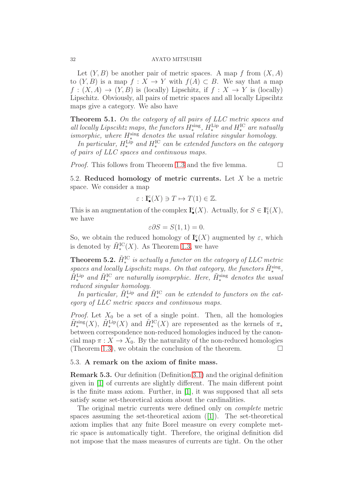Let  $(Y, B)$  be another pair of metric spaces. A map f from  $(X, A)$ to  $(Y, B)$  is a map  $f: X \to Y$  with  $f(A) \subset B$ . We say that a map  $f: (X, A) \to (Y, B)$  is (locally) Lipschitz, if  $f: X \to Y$  is (locally) Lipschitz. Obviously, all pairs of metric spaces and all locally Lipscihtz maps give a category. We also have

<span id="page-31-1"></span>Theorem 5.1. *On the category of all pairs of LLC metric spaces and all locally Lipscihtz maps, the functors*  $H_*^{\text{sing}}$ ,  $H_*^{\text{Lip}}$  *and*  $H_*^{\text{IC}}$  *are natually*  $ismorphic, where  $H^{\text{sing}}_*$  denotes the usual relative singular homology.$ 

*In particular,*  $H_*^{\text{Lip}}$  and  $H_*^{\text{IC}}$  can be extended functors on the category *of pairs of LLC spaces and continuous maps.*

*Proof.* This follows from Theorem [1.3](#page-1-1) and the five lemma.  $\Box$ 

5.2. Reduced homology of metric currents. Let  $X$  be a metric space. We consider a map

$$
\varepsilon:\mathbf{I}_{\bullet}^{\mathrm{c}}(X)\ni T\mapsto T(1)\in\mathbb{Z}.
$$

This is an augmentation of the complex  $\mathbf{I}^{\mathbf{c}}_{\bullet}(X)$ . Actually, for  $S \in \mathbf{I}^{\mathbf{c}}_1(X)$ , we have

$$
\varepsilon \partial S = S(1,1) = 0.
$$

So, we obtain the reduced homology of  $\mathbf{I}^{\mathsf{c}}_{\bullet}(X)$  augmented by  $\varepsilon$ , which is denoted by  $\tilde{H}_{*}^{\text{IC}}(X)$ . As Theorem [1.3,](#page-1-1) we have

**Theorem 5.2.**  $\tilde{H}_*^{\text{IC}}$  is actually a functor on the category of LLC metric  $spaces$  and locally Lipschitz maps. On that category, the functors  $\tilde{H}_*^{\text{sing}}$ ,  $\tilde{H}_*^{\text{Lip}}$  and  $\tilde{H}_*^{\text{IC}}$  are naturally isomprphic. Here,  $\tilde{H}_*^{\text{sing}}$  denotes the usual *reduced singular homology.*

*In particular,*  $\tilde{H}_*^{\text{Lip}}$  and  $\tilde{H}_*^{\text{IC}}$  can be extended to functors on the cat*egory of LLC metric spaces and continuous maps.*

*Proof.* Let  $X_0$  be a set of a single point. Then, all the homologies  $\tilde{H}_{*}^{sing}(X)$ ,  $\tilde{H}_{*}^{Lip}(X)$  and  $\tilde{H}_{*}^{IC}(X)$  are represented as the kernels of  $\pi_{*}$ between correspondence non-reduced homologies induced by the canoncial map  $\pi: X \to X_0$ . By the naturality of the non-reduced homologies (Theorem [1.3\)](#page-1-1), we obtain the conclusion of the theorem.  $\Box$ 

## 5.3. A remark on the axiom of finite mass.

<span id="page-31-0"></span>Remark 5.3. Our definition (Definition [3.1\)](#page-10-0) and the original definition given in [\[1\]](#page-37-0) of currents are slightly different. The main different point is the finite mass axiom. Further, in [\[1\]](#page-37-0), it was supposed that all sets satisfy some set-theoretical axiom about the cardinalities.

The original metric currents were defined only on *complete* metric spaces assuming the set-theoretical axiom ([\[1\]](#page-37-0)). The set-theoretical axiom implies that any fnite Borel measure on every complete metric space is automatically tight. Therefore, the original definition did not impose that the mass measures of currents are tight. On the other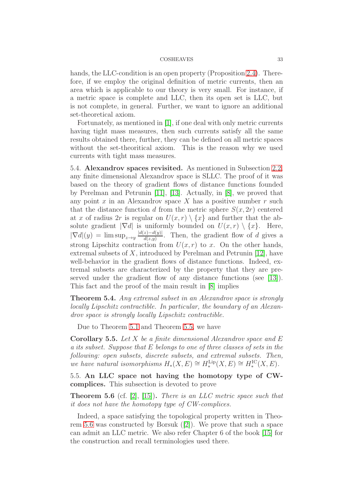hands, the LLC-condition is an open property (Proposition [2.4\)](#page-4-0). Therefore, if we employ the original definition of metric currents, then an area which is applicable to our theory is very small. For instance, if a metric space is complete and LLC, then its open set is LLC, but is not complete, in general. Further, we want to ignore an additional set-theoretical axiom.

Fortunately, as mentioned in [\[1\]](#page-37-0), if one deal with only metric currents having tight mass measures, then such currents satisfy all the same results obtained there, further, they can be defined on all metric spaces without the set-theoritical axiom. This is the reason why we used currents with tight mass measures.

5.4. Alexandrov spaces revisited. As mentioned in Subsection [2.2,](#page-6-2) any finite dimensional Alexandrov space is SLLC. The proof of it was based on the theory of gradient flows of distance functions founded by Perelman and Petrunin [\[11\]](#page-38-6), [\[13\]](#page-38-7). Actually, in [\[8\]](#page-38-4), we proved that any point x in an Alexandrov space X has a positive number  $r$  such that the distance function d from the metric sphere  $S(x, 2r)$  centered at x of radius 2r is regular on  $U(x, r) \setminus \{x\}$  and further that the absolute gradient  $|\nabla d|$  is uniformly bounded on  $U(x, r) \setminus \{x\}$ . Here,  $|\nabla d|(y) = \limsup_{z \to y} \frac{|d(z) - d(y)|}{d(z,y)}$  $\frac{z-a(y)}{d(z,y)}$ . Then, the gradient flow of d gives a strong Lipschitz contraction from  $U(x, r)$  to x. On the other hands, extremal subsets of  $X$ , introduced by Perelman and Petrunin [\[12\]](#page-38-11), have well-behavior in the gradient flows of distance functions. Indeed, extremal subsets are characterized by the property that they are preserved under the gradient flow of any distance functions (see [\[13\]](#page-38-7)). This fact and the proof of the main result in [\[8\]](#page-38-4) implies

Theorem 5.4. *Any extremal subset in an Alexandrov space is strongly locally Lipschitz contractible. In particular, the boundary of an Alexandrov space is strongly locally Lipschitz contractible.*

Due to Theorem [5.1](#page-31-1) and Theorem [5.5,](#page-32-0) we have

<span id="page-32-0"></span>Corollary 5.5. *Let* X *be a finite dimensional Alexandrov space and* E *a its subset. Suppose that* E *belongs to one of three classes of sets in the following: open subsets, discrete subsets, and extremal subsets. Then, we have natural isomorphisms*  $H_*(X, E) \cong H_*^{\text{Lip}}(X, E) \cong H_*^{\text{IC}}(X, E)$ .

5.5. An LLC space not having the homotopy type of CWcomplices. This subsection is devoted to prove

<span id="page-32-1"></span>Theorem 5.6 (cf. [\[2\]](#page-37-4), [\[15\]](#page-38-12)). *There is an LLC metric space such that it does not have the homotopy type of CW-complices.*

Indeed, a space satisfying the topological property written in Theorem [5.6](#page-32-1) was constructed by Borsuk ([\[2\]](#page-37-4)). We prove that such a space can admit an LLC metric. We also refer Chapter 6 of the book [\[15\]](#page-38-12) for the construction and recall terminologies used there.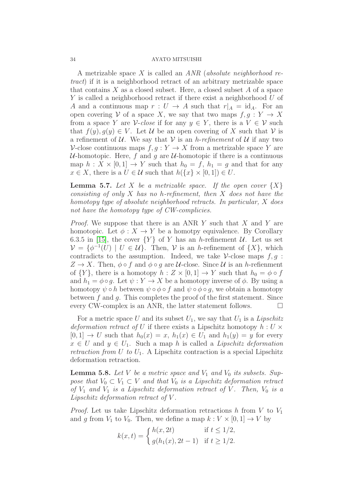A metrizable space X is called an *ANR* (*absolute neighborhood retract*) if it is a neighborhood retract of an arbitrary metrizable space that contains  $X$  as a closed subset. Here, a closed subset  $A$  of a space Y is called a neighborhood retract if there exist a neighborhood U of A and a continuous map  $r: U \to A$  such that  $r|_A = id_A$ . For an open covering V of a space X, we say that two maps  $f, g: Y \to X$ from a space Y are V-*close* if for any  $y \in Y$ , there is a  $V \in V$  such that  $f(y), g(y) \in V$ . Let U be an open covering of X such that V is a refinement of  $U$ . We say that  $V$  is an *h-refinement* of  $U$  if any two V-close continuous maps  $f, q: Y \to X$  from a metrizable space Y are  $U$ -homotopic. Here, f and g are  $U$ -homotopic if there is a continuous map  $h: X \times [0,1] \rightarrow Y$  such that  $h_0 = f, h_1 = g$  and that for any  $x \in X$ , there is a  $U \in \mathcal{U}$  such that  $h({x} \times [0,1]) \in U$ .

<span id="page-33-0"></span>**Lemma 5.7.** Let X be a metrizable space. If the open cover  $\{X\}$ *consisting of only* X *has no* h*-refinement, then* X *does not have the homotopy type of absolute neighborhood retracts. In particular,* X *does not have the homotopy type of CW-complicies.*

*Proof.* We suppose that there is an ANR Y such that X and Y are homotopic. Let  $\phi: X \to Y$  be a homotpy equivalence. By Corollary 6.3.5 in [\[15\]](#page-38-12), the cover  ${Y}$  of Y has an h-refinement U. Let us set  $\mathcal{V} = \{ \phi^{-1}(U) \mid U \in \mathcal{U} \}.$  Then,  $\mathcal{V}$  is an h-refinement of  $\{X\}$ , which contradicts to the assumption. Indeed, we take  $\mathcal V$ -close maps  $f, g$ :  $Z \to X$ . Then,  $\phi \circ f$  and  $\phi \circ g$  are *U*-close. Since *U* is an *h*-refienment of  $\{Y\}$ , there is a homotopy  $h: Z \times [0,1] \to Y$  such that  $h_0 = \phi \circ f$ and  $h_1 = \phi \circ g$ . Let  $\psi : Y \to X$  be a homotopy inverse of  $\phi$ . By using a homotopy  $\psi \circ h$  between  $\psi \circ \phi \circ f$  and  $\psi \circ \phi \circ q$ , we obtain a homotopy between  $f$  and  $g$ . This completes the proof of the first statement. Since every CW-complex is an ANR, the latter statement follows.  $\Box$ 

For a metric space U and its subset  $U_1$ , we say that  $U_1$  is a *Lipschitz deformation retract of* U if there exists a Lipschitz homotopy  $h: U \times$  $[0, 1] \rightarrow U$  such that  $h_0(x) = x$ ,  $h_1(x) \in U_1$  and  $h_1(y) = y$  for every  $x \in U$  and  $y \in U_1$ . Such a map h is called a *Lipschitz deformation retraction from*  $U$  *to*  $U_1$ . A Lipschitz contraction is a special Lipschitz deformation retraction.

<span id="page-33-1"></span>**Lemma 5.8.** Let V be a metric space and  $V_1$  and  $V_0$  its subsets. Sup*pose that*  $V_0 \subset V_1 \subset V$  *and that*  $V_0$  *is a Lipschitz deformation retract of*  $V_1$  *and*  $V_1$  *is a Lipschitz deformation retract of*  $V$ *. Then,*  $V_0$  *is a Lipschitz deformation retract of* V *.*

*Proof.* Let us take Lipschitz deformation retractions h from  $V$  to  $V_1$ and g from  $V_1$  to  $V_0$ . Then, we define a map  $k: V \times [0, 1] \rightarrow V$  by

$$
k(x,t) = \begin{cases} h(x, 2t) & \text{if } t \le 1/2, \\ g(h_1(x), 2t - 1) & \text{if } t \ge 1/2. \end{cases}
$$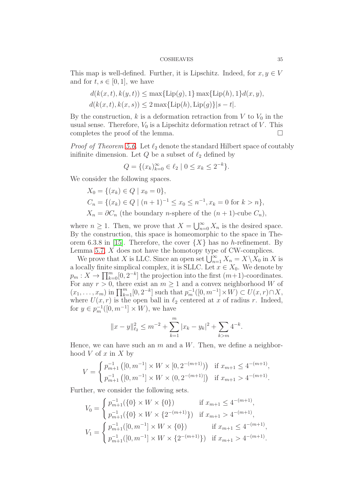This map is well-defined. Further, it is Lipschitz. Indeed, for  $x, y \in V$ and for  $t, s \in [0, 1]$ , we have

$$
d(k(x,t), k(y,t)) \le \max\{\text{Lip}(g), 1\} \max\{\text{Lip}(h), 1\} d(x, y),
$$
  

$$
d(k(x,t), k(x,s)) \le 2 \max\{\text{Lip}(h), \text{Lip}(g)\}|s-t|.
$$

By the construction, k is a deformation retraction from V to  $V_0$  in the usual sense. Therefore,  $V_0$  is a Lipschitz deformation retract of V. This completes the proof of the lemma.

*Proof of Theorem [5.6.](#page-32-1)* Let  $\ell_2$  denote the standard Hilbert space of coutably inifinite dimension. Let  $Q$  be a subset of  $\ell_2$  defined by

$$
Q = \{(x_k)_{k=0}^{\infty} \in \ell_2 \mid 0 \le x_k \le 2^{-k}\}.
$$

We consider the following spaces.

$$
X_0 = \{(x_k) \in Q \mid x_0 = 0\},
$$
  
\n
$$
C_n = \{(x_k) \in Q \mid (n+1)^{-1} \le x_0 \le n^{-1}, x_k = 0 \text{ for } k > n\},
$$
  
\n
$$
X_n = \partial C_n \text{ (the boundary } n\text{-sphere of the } (n+1)\text{-cube } C_n\},
$$

where  $n \geq 1$ . Then, we prove that  $X = \bigcup_{n=0}^{\infty} X_n$  is the desired space. By the construction, this space is homeomorphic to the space in The-orem 6.3.8 in [\[15\]](#page-38-12). Therefore, the cover  $\{X\}$  has no h-refinement. By Lemma [5.7,](#page-33-0)  $X$  does not have the homotopy type of CW-complices.

We prove that X is LLC. Since an open set  $\bigcup_{n=1}^{\infty} X_n = X \setminus X_0$  in X is a locally finite simplical complex, it is SLLC. Let  $x \in X_0$ . We denote by  $p_m: X \to \prod_{k=0}^m [0, 2^{-k}]$  the projection into the first  $(m+1)$ -coordinates. For any  $r > 0$ , there exist an  $m \geq 1$  and a convex neighborhood W of  $(x_1, \ldots, x_m)$  in  $\prod_{k=1}^m [0, 2^{-k}]$  such that  $p_m^{-1}([0, m^{-1}] \times W) \subset U(x, r) \cap X$ , where  $U(x, r)$  is the open ball in  $\ell_2$  centered at x of radius r. Indeed, for  $y \in p_m^{-1}([0, m^{-1}] \times W)$ , we have

$$
||x - y||_{\ell_2}^2 \le m^{-2} + \sum_{k=1}^m |x_k - y_k|^2 + \sum_{k > m} 4^{-k}.
$$

Hence, we can have such an  $m$  and a  $W$ . Then, we define a neighborhood  $V$  of  $x$  in  $X$  by

$$
V = \begin{cases} p_{m+1}^{-1}([0, m^{-1}] \times W \times [0, 2^{-(m+1)})) & \text{if } x_{m+1} \le 4^{-(m+1)}, \\ p_{m+1}^{-1}([0, m^{-1}] \times W \times (0, 2^{-(m+1)}]) & \text{if } x_{m+1} > 4^{-(m+1)}. \end{cases}
$$

Further, we consider the following sets.

$$
V_0 = \begin{cases} p_{m+1}^{-1}(\{0\} \times W \times \{0\}) & \text{if } x_{m+1} \le 4^{-(m+1)}, \\ p_{m+1}^{-1}(\{0\} \times W \times \{2^{-(m+1)}\}) & \text{if } x_{m+1} > 4^{-(m+1)}, \\ V_1 = \begin{cases} p_{m+1}^{-1}([0, m^{-1}] \times W \times \{0\}) & \text{if } x_{m+1} \le 4^{-(m+1)}, \\ p_{m+1}^{-1}([0, m^{-1}] \times W \times \{2^{-(m+1)}\}) & \text{if } x_{m+1} > 4^{-(m+1)}. \end{cases}
$$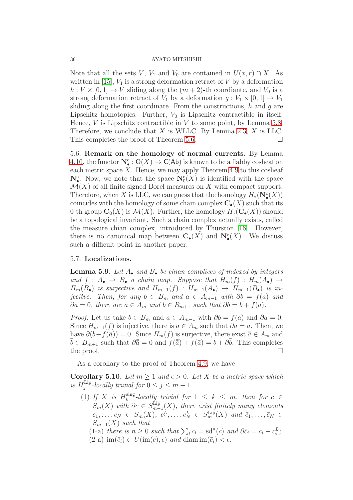Note that all the sets V,  $V_1$  and  $V_0$  are contained in  $U(x, r) \cap X$ . As written in [\[15\]](#page-38-12),  $V_1$  is a strong deformation retract of V by a deformation  $h: V \times [0,1] \to V$  sliding along the  $(m+2)$ -th coordiante, and  $V_0$  is a strong deformation retract of  $V_1$  by a deformation  $g: V_1 \times [0,1] \rightarrow V_1$ sliding along the first coordinate. From the constructions,  $h$  and  $g$  are Lipschitz homotopies. Further,  $V_0$  is Lipschitz contractible in itself. Hence,  $V$  is Lipschitz contractible in  $V$  to some point, by Lemma [5.8.](#page-33-1) Therefore, we conclude that  $X$  is WLLC. By Lemma [2.3,](#page-3-0)  $X$  is LLC. This completes the proof of Theorem [5.6.](#page-32-1)

5.6. Remark on the homology of normal currents. By Lemma [4.10,](#page-27-2) the functor  $\mathbf{N}_{\bullet}^{\mathbf{c}}: \mathsf{O}(X) \to \mathsf{C}(\mathsf{Ab})$  is known to be a flabby cosheaf on each metric space  $X$ . Hence, we may apply Theorem [4.9](#page-23-0) to this cosheaf  $\mathbf{N}_{\bullet}^{\mathsf{c}}$ . Now, we note that the space  $\mathbf{N}_{0}^{\mathsf{c}}(X)$  is identified with the space  $\mathcal{M}(X)$  of all finite signed Borel measures on X with compact support. Therefore, when X is LLC, we can guess that the homology  $H_*(\mathbf N^\mathbf c_*(X))$ coincides with the homology of some chain complex  $C_{\bullet}(X)$  such that its 0-th group  $C_0(X)$  is  $\mathcal{M}(X)$ . Further, the homology  $H_*(\mathbf{C}_\bullet(X))$  should be a topological invariant. Such a chain complex actually exists, called the measure chian complex, introduced by Thurston [\[16\]](#page-38-13). However, there is no canonical map between  $\mathbf{C}_{\bullet}(X)$  and  $\mathbf{N}_{\bullet}^{c}(X)$ . We discuss such a difficult point in another paper.

## 5.7. Localizations.

<span id="page-35-0"></span>Lemma 5.9. *Let* A• *and* B• *be chian complices of indexed by integers* and  $f : A_{\bullet} \to B_{\bullet}$  *a chain map. Suppose that*  $H_m(f) : H_m(A_{\bullet}) \to$  $H_m(B_{\bullet})$  *is surjective and*  $H_{m-1}(f)$  :  $H_{m-1}(A_{\bullet}) \rightarrow H_{m-1}(B_{\bullet})$  *is injecitve.* Then, for any  $b \in B_m$  and  $a \in A_{m-1}$  with  $\partial b = f(a)$  and  $\partial a = 0$ , there are  $\bar{a} \in A_m$  and  $\bar{b} \in B_{m+1}$  such that  $\partial \bar{b} = b + f(\bar{a})$ .

*Proof.* Let us take  $b \in B_m$  and  $a \in A_{m-1}$  with  $\partial b = f(a)$  and  $\partial a = 0$ . Since  $H_{m-1}(f)$  is injective, there is  $\bar{a} \in A_m$  such that  $\partial \bar{a} = a$ . Then, we have  $\partial(b-f(\bar{a}))=0$ . Since  $H_m(f)$  is surjective, there exist  $\bar{a}\in A_m$  and  $\bar{b} \in B_{m+1}$  such that  $\partial \bar{\bar{a}} = 0$  and  $\bar{f}(\bar{a}) + f(\bar{a}) = b + \partial \bar{b}$ . This completes the proof.  $\Box$ 

As a corollary to the proof of Theorem [4.9,](#page-23-0) we have

<span id="page-35-1"></span>Corollary 5.10. Let  $m \geq 1$  and  $\epsilon > 0$ . Let X be a metric space which is  $\tilde{H}^{\text{Lip}}_j$ -locally trivial for  $0 \le j \le m-1$ .

(1) If X is  $H_k^{\text{sing}}$  $\sum_{k}^{\text{sing}}$ -locally trivial for  $1 \leq k \leq m$ , then for  $c \in$  $S_m(X)$  with  $\partial c \in S_{m-}^{\text{Lip}}$ m−1 (X)*, there exist finitely many elements*  $c_1, \ldots, c_N \in S_m(X), \ c_1^L, \ldots, c_N^L \in S_m^{\text{Lip}}(X) \ \text{and} \ \bar{c}_1, \ldots, \bar{c}_N \in S_m^{\text{Lip}}(X)$  $S_{m+1}(X)$  *such that* 

(1-a) *there is*  $n \geq 0$  *such that*  $\sum_i c_i = \text{sd}^n(c)$  *and*  $\partial \overline{c}_i = c_i - c_i^L$ ;  $(2-a)$  im $(\bar{c}_i) \subset U(\text{im}(c), \epsilon)$  *and* diam im $(\bar{c}_i) < \epsilon$ *.*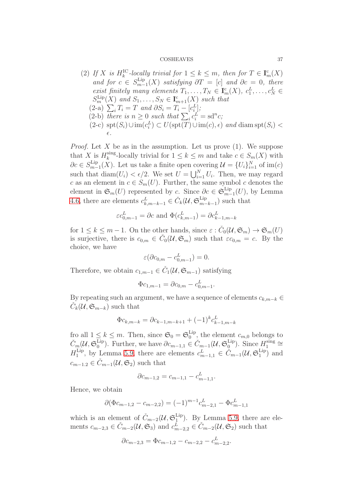(2) If X is  $H_k^{\text{IC}}$ -locally trivial for  $1 \leq k \leq m$ , then for  $T \in \mathbf{I}_m^{\text{c}}(X)$ *and for*  $c \in S_{m-}^{\text{Lip}}$  $\lim_{m-1}(X)$  *satisfying*  $\partial T = [c]$  *and*  $\partial c = 0$ *, there exist finitely many elements*  $T_1, \ldots, T_N \in \mathbf{I}_m^c(X)$ ,  $c_1^L, \ldots, c_N^L \in$  $S_m^{\text{Lip}}(X)$  and  $S_1, \ldots, S_N \in \mathbf{I}_{m+1}^c(X)$  such that  $(2-a) \sum_i T_i = T \text{ and } \partial S_i = T_i - [c_i^L];$ (2-b) *there is*  $n \geq 0$  *such that*  $\sum_i c_i^L = \text{sd}^n c$ ; (2-c) spt(S<sub>i</sub>)∪im( $c_i^L$ ) ⊂  $U(\text{spt}(T) \cup \text{im}(c), \epsilon)$  *and* diam spt(S<sub>i</sub>) < ǫ*.*

*Proof.* Let X be as in the assumption. Let us prove  $(1)$ . We suppose that X is  $H_k^{\text{sing}}$  $\sum_{k=1}^{\text{sing}}$ -locally trivial for  $1 \leq k \leq m$  and take  $c \in S_m(X)$  with  $\partial c \in S_{m-}^{\mathrm{Lip}}$ <sup>Lip</sup><sub>m−1</sub>(X). Let us take a finite open covering  $\mathcal{U} = \{U_i\}_{i=1}^N$  of im $(c)$ such that  $\text{diam}(U_i) < \epsilon/2$ . We set  $U = \bigcup_{i=1}^N U_i$ . Then, we may regard c as an element in  $c \in S_m(U)$ . Further, the same symbol c denotes the element in  $\mathfrak{S}_m(U)$  represented by c. Since  $\partial c \in \mathfrak{S}_{m-}^{\text{Lip}}$  $lim_{m-1}(U)$ , by Lemma [4.6,](#page-22-1) there are elements  $c_{k,m-k-1}^L \in \check{C}_k(\mathcal{U}, \mathfrak{S}_{m-k}^{\text{Lip}})$  $_{m-k-1}^{\text{Lip}}$  such that

$$
\varepsilon c_{0,m-1}^L = \partial c
$$
 and  $\Phi(c_{k,m-1}^L) = \partial c_{k-1,m-k}^L$ 

for  $1 \leq k \leq m-1$ . On the other hands, since  $\varepsilon : \check{C}_0(\mathcal{U}, \mathfrak{S}_m) \to \mathfrak{S}_m(U)$ is surjective, there is  $c_{0,m} \in \check{C}_0(\mathcal{U}, \mathfrak{S}_m)$  such that  $\varepsilon c_{0,m} = c$ . By the choice, we have

$$
\varepsilon(\partial c_{0,m} - c_{0,m-1}^L) = 0.
$$

Therefore, we obtain  $c_{1,m-1} \in \check{C}_1(\mathcal{U}, \mathfrak{S}_{m-1})$  satisfying

$$
\Phi c_{1,m-1} = \partial c_{0,m} - c_{0,m-1}^L.
$$

By repeating such an argument, we have a sequence of elements  $c_{k,m-k}$  $\check{C}_k(\mathcal{U}, \mathfrak{S}_{m-k})$  such that

$$
\Phi c_{k,m-k} = \partial c_{k-1,m-k+1} + (-1)^k c_{k-1,m-k}^L
$$

fro all  $1 \leq k \leq m$ . Then, since  $\mathfrak{S}_0 = \mathfrak{S}_0^{\text{Lip}}$  $_{0}^{\text{Lip}}$ , the element  $c_{m,0}$  belongs to  $\check{C}_m (\mathcal{U}, \mathfrak{S}_0^{\mathrm{Lip}}$ <sup>Lip</sup>). Further, we have  $\partial c_{m-1,1} \in \check{C}_{m-1}(\mathcal{U}, \mathfrak{S}_0^{\text{Lip}})$  $\lim_{0}$ . Since  $H_1^{\text{sing}}$  $\frac{\sin\theta}{1} \cong$  $H_1^{\mathrm{Lip}}$ <sup>Lip</sup>, by Lemma [5.9,](#page-35-0) there are elements  $c_{m-1,1}^L \in \check{C}_{m-1}(\mathcal{U}, \mathfrak{S}_1^{\text{Lip}})$  $_1^{\text{Lip}}$  and  $c_{m-1,2} \in \check{C}_{m-1}(\mathcal{U}, \mathfrak{S}_2)$  such that

$$
\partial c_{m-1,2} = c_{m-1,1} - c_{m-1,1}^L.
$$

Hence, we obtain

$$
\partial(\Phi c_{m-1,2} - c_{m-2,2}) = (-1)^{m-1} c_{m-2,1}^L - \Phi c_{m-1,1}^L
$$

which is an element of  $\check{C}_{m-2}(\mathcal{U}, \mathfrak{S}_1^{\text{Lip}})$  $_1^{\text{Lip}}$ ). By Lemma [5.9,](#page-35-0) there are elements  $c_{m-2,3} \in \check{C}_{m-2}(\mathcal{U}, \mathfrak{S}_3)$  and  $c_{m-2,2}^{\tilde{L}} \in \check{C}_{m-2}(\mathcal{U}, \mathfrak{S}_2)$  such that

$$
\partial c_{m-2,3} = \Phi c_{m-1,2} - c_{m-2,2} - c_{m-2,2}^L.
$$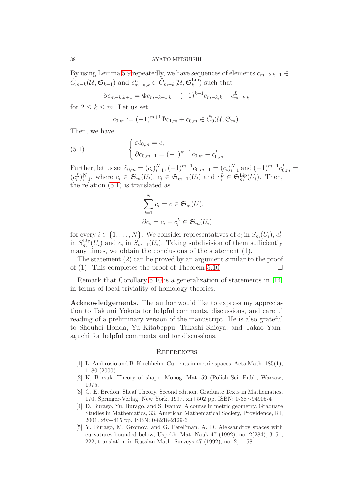By using Lemma [5.9](#page-35-0) repeatedly, we have sequences of elements  $c_{m-k,k+1} \in$  $\check{C}_{m-k}(\mathcal{U}, \mathfrak{S}_{k+1})$  and  $c_{m-k,k}^L \in \check{C}_{m-k}(\mathcal{U}, \mathfrak{S}_k^{\text{Lip}})$  $_{k}^{\text{Lip}}$ ) such that

$$
\partial c_{m-k,k+1} = \Phi c_{m-k+1,k} + (-1)^{k+1} c_{m-k,k} - c_{m-k,k}^L
$$

for  $2 \leq k \leq m$ . Let us set

<span id="page-37-5"></span>
$$
\tilde{c}_{0,m} := (-1)^{m+1} \Phi c_{1,m} + c_{0,m} \in \check{C}_0(\mathcal{U}, \mathfrak{S}_m).
$$

Then, we have

(5.1) 
$$
\begin{cases} \varepsilon \tilde{c}_{0,m} = c, \\ \partial c_{0,m+1} = (-1)^{m+1} \tilde{c}_{0,m} - c_{0,m}^L. \end{cases}
$$

Further, let us set  $\tilde{c}_{0,m} = (c_i)_{i=1}^N, (-1)^{m+1} c_{0,m+1} = (\bar{c}_i)_{i=1}^N$  and  $(-1)^{m+1} c_{0,m}^L =$  $(c_i^L)_{i=1}^N$ , where  $c_i \in \mathfrak{S}_m(U_i)$ ,  $\bar{c}_i \in \mathfrak{S}_{m+1}(U_i)$  and  $c_i^L \in \mathfrak{S}_m^{\text{Lip}}(U_i)$ . Then, the relation [\(5.1\)](#page-37-5) is translated as

$$
\sum_{i=1}^{N} c_i = c \in \mathfrak{S}_m(U),
$$
  

$$
\partial \bar{c}_i = c_i - c_i^L \in \mathfrak{S}_m(U_i)
$$

for every  $i \in \{1, ..., N\}$ . We consider representatives of  $c_i$  in  $S_m(U_i)$ ,  $c_i^L$ in  $S_m^{\text{Lip}}(U_i)$  and  $\bar{c}_i$  in  $S_{m+1}(U_i)$ . Taking subdivision of them sufficiently many times, we obtain the conclusions of the statement (1).

The statement (2) can be proved by an argument similar to the proof of (1). This completes the proof of Theorem [5.10](#page-35-1)

Remark that Corollary [5.10](#page-35-1) is a generalization of statements in [\[14\]](#page-38-1) in terms of local triviality of homology theories.

Acknowledgements. The author would like to express my appreciation to Takumi Yokota for helpful comments, discussions, and careful reading of a preliminary version of the manuscript. He is also grateful to Shouhei Honda, Yu Kitabeppu, Takashi Shioya, and Takao Yamaguchi for helpful comments and for discussions.

## **REFERENCES**

- <span id="page-37-0"></span>[1] L. Ambrosio and B. Kirchheim. Currents in metric spaces. Acta Math. 185(1), 1–80 (2000).
- <span id="page-37-4"></span><span id="page-37-1"></span>[2] K, Borsuk. Theory of shape. Monog. Mat. 59 (Polish Sci. Publ., Warsaw, 1975.
- [3] G. E. Bredon. Sheaf Theory. Second edition. Graduate Texts in Mathematics, 170. Springer-Verlag, New York, 1997. xii+502 pp. ISBN: 0-387-94905-4
- <span id="page-37-2"></span>[4] D. Burago, Yu. Burago, and S. Ivanov. A course in metric geometry. Graduate Studies in Mathematics, 33. American Mathematical Society, Providence, RI, 2001. xiv+415 pp. ISBN: 0-8218-2129-6
- <span id="page-37-3"></span>[5] Y. Burago, M. Gromov, and G. Perel'man. A. D. Aleksandrov spaces with curvatures bounded below, Uspekhi Mat. Nauk 47 (1992), no. 2(284), 3–51, 222, translation in Russian Math. Surveys 47 (1992), no. 2, 1–58.